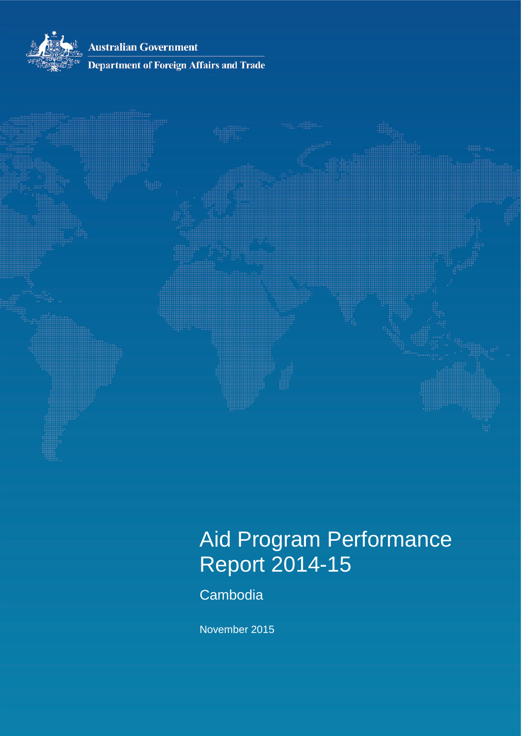**Australian Government** 



## **Department of Foreign Affairs and Trade**



# Aid Program Performance Report 2014-15

**Cambodia** 

November 2015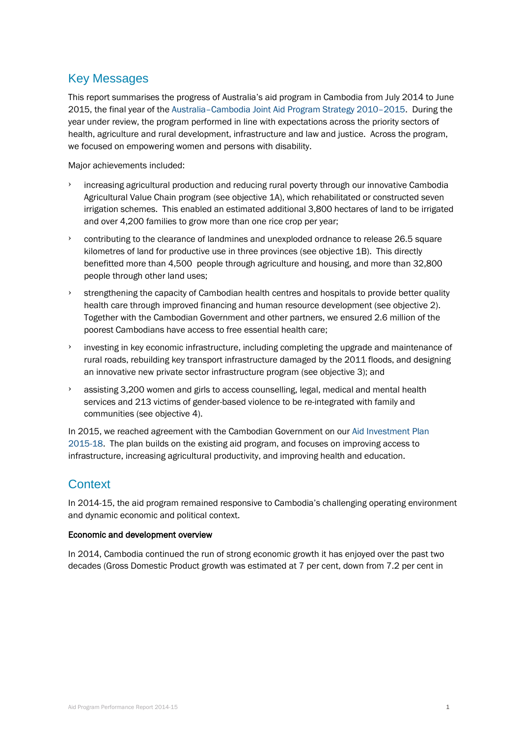## Key Messages

This report summarises the progress of Australia's aid program in Cambodia from July 2014 to June 2015, the final year of the [Australia–Cambodia Joint Aid Program Strategy 2010–2015.](http://dfat.gov.au/about-us/publications/Pages/australia-cambodia-joint-aid-program-strategy.aspx) During the year under review, the program performed in line with expectations across the priority sectors of health, agriculture and rural development, infrastructure and law and justice. Across the program, we focused on empowering women and persons with disability.

Major achievements included:

- › increasing agricultural production and reducing rural poverty through our innovative Cambodia Agricultural Value Chain program (see objective 1A), which rehabilitated or constructed seven irrigation schemes. This enabled an estimated additional 3,800 hectares of land to be irrigated and over 4,200 families to grow more than one rice crop per year;
- contributing to the clearance of landmines and unexploded ordnance to release 26.5 square kilometres of land for productive use in three provinces (see objective 1B). This directly benefitted more than 4,500 people through agriculture and housing, and more than 32,800 people through other land uses;
- $\rightarrow$  strengthening the capacity of Cambodian health centres and hospitals to provide better quality health care through improved financing and human resource development (see objective 2). Together with the Cambodian Government and other partners, we ensured 2.6 million of the poorest Cambodians have access to free essential health care;
- investing in key economic infrastructure, including completing the upgrade and maintenance of rural roads, rebuilding key transport infrastructure damaged by the 2011 floods, and designing an innovative new private sector infrastructure program (see objective 3); and
- $\rightarrow$  assisting 3,200 women and girls to access counselling, legal, medical and mental health services and 213 victims of gender-based violence to be re-integrated with family and communities (see objective 4).

In 2015, we reached agreement with the Cambodian Government on ou[r Aid Investment Plan](http://dfat.gov.au/about-us/publications/Pages/aid-investment-plan-aip-cambodia-2015-2018.aspx)  [2015-18.](http://dfat.gov.au/about-us/publications/Pages/aid-investment-plan-aip-cambodia-2015-2018.aspx) The plan builds on the existing aid program, and focuses on improving access to infrastructure, increasing agricultural productivity, and improving health and education.

## **Context**

In 2014-15, the aid program remained responsive to Cambodia's challenging operating environment and dynamic economic and political context.

#### Economic and development overview

In 2014, Cambodia continued the run of strong economic growth it has enjoyed over the past two decades (Gross Domestic Product growth was estimated at 7 per cent, down from 7.2 per cent in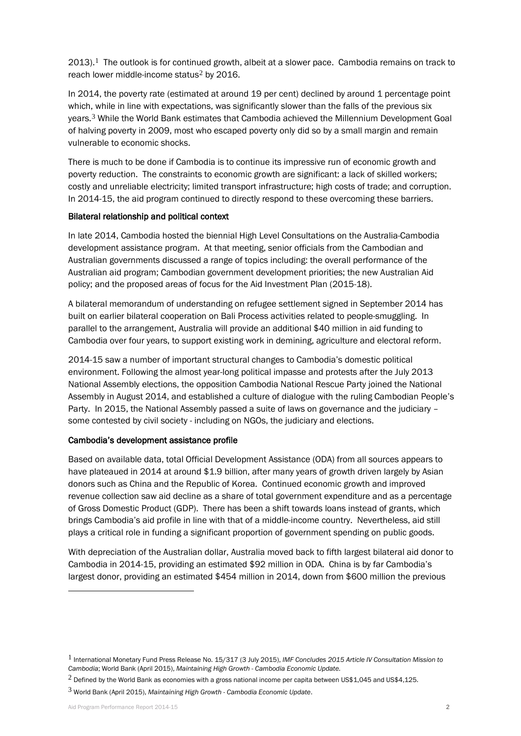$2013$  $2013$  $2013$ .<sup>1</sup> The outlook is for continued growth, albeit at a slower pace. Cambodia remains on track to reach lower middle-income status<sup>[2](#page-2-1)</sup> by 2016.

In 2014, the poverty rate (estimated at around 19 per cent) declined by around 1 percentage point which, while in line with expectations, was significantly slower than the falls of the previous six years.[3](#page-2-2) While the World Bank estimates that Cambodia achieved the Millennium Development Goal of halving poverty in 2009, most who escaped poverty only did so by a small margin and remain vulnerable to economic shocks.

There is much to be done if Cambodia is to continue its impressive run of economic growth and poverty reduction. The constraints to economic growth are significant: a lack of skilled workers; costly and unreliable electricity; limited transport infrastructure; high costs of trade; and corruption. In 2014-15, the aid program continued to directly respond to these overcoming these barriers.

#### Bilateral relationship and political context

In late 2014, Cambodia hosted the biennial High Level Consultations on the Australia-Cambodia development assistance program. At that meeting, senior officials from the Cambodian and Australian governments discussed a range of topics including: the overall performance of the Australian aid program; Cambodian government development priorities; the new Australian Aid policy; and the proposed areas of focus for the Aid Investment Plan (2015-18).

A bilateral memorandum of understanding on refugee settlement signed in September 2014 has built on earlier bilateral cooperation on Bali Process activities related to people-smuggling. In parallel to the arrangement, Australia will provide an additional \$40 million in aid funding to Cambodia over four years, to support existing work in demining, agriculture and electoral reform.

2014-15 saw a number of important structural changes to Cambodia's domestic political environment. Following the almost year-long political impasse and protests after the July 2013 National Assembly elections, the opposition Cambodia National Rescue Party joined the National Assembly in August 2014, and established a culture of dialogue with the ruling Cambodian People's Party. In 2015, the National Assembly passed a suite of laws on governance and the judiciary – some contested by civil society - including on NGOs, the judiciary and elections.

#### Cambodia's development assistance profile

Based on available data, total Official Development Assistance (ODA) from all sources appears to have plateaued in 2014 at around \$1.9 billion, after many years of growth driven largely by Asian donors such as China and the Republic of Korea. Continued economic growth and improved revenue collection saw aid decline as a share of total government expenditure and as a percentage of Gross Domestic Product (GDP). There has been a shift towards loans instead of grants, which brings Cambodia's aid profile in line with that of a middle-income country. Nevertheless, aid still plays a critical role in funding a significant proportion of government spending on public goods.

With depreciation of the Australian dollar, Australia moved back to fifth largest bilateral aid donor to Cambodia in 2014-15, providing an estimated \$92 million in ODA. China is by far Cambodia's largest donor, providing an estimated \$454 million in 2014, down from \$600 million the previous

-

<span id="page-2-0"></span><sup>1</sup> International Monetary Fund Press Release No. 15/317 (3 July 2015), *IMF Concludes 2015 Article IV Consultation Mission to Cambodia*; World Bank (April 2015), *Maintaining High Growth - Cambodia Economic Update.*

<span id="page-2-1"></span> $2$  Defined by the World Bank as economies with a gross national income per capita between US\$1,045 and US\$4,125.

<span id="page-2-2"></span><sup>3</sup> World Bank (April 2015), *Maintaining High Growth - Cambodia Economic Update*.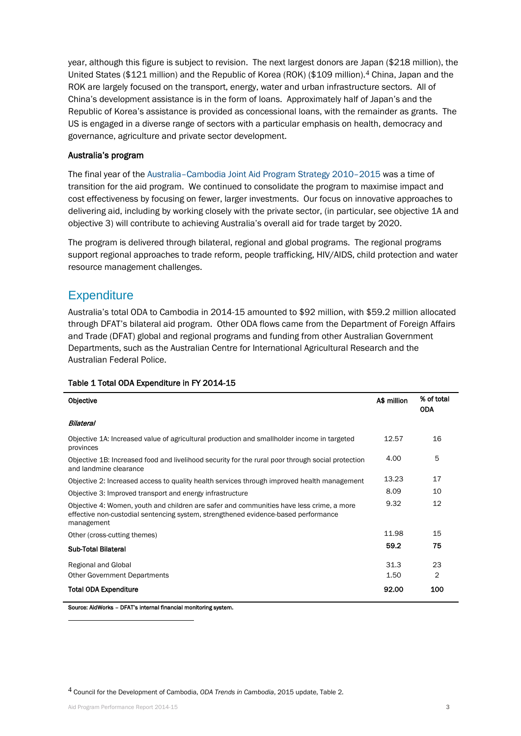year, although this figure is subject to revision. The next largest donors are Japan (\$218 million), the United States (\$121 million) and the Republic of Korea (ROK) (\$109 million).<sup>[4](#page-3-0)</sup> China, Japan and the ROK are largely focused on the transport, energy, water and urban infrastructure sectors. All of China's development assistance is in the form of loans. Approximately half of Japan's and the Republic of Korea's assistance is provided as concessional loans, with the remainder as grants. The US is engaged in a diverse range of sectors with a particular emphasis on health, democracy and governance, agriculture and private sector development.

#### Australia's program

The final year of the [Australia–Cambodia Joint Aid Program Strategy 2010–2015](http://dfat.gov.au/about-us/publications/Pages/australia-cambodia-joint-aid-program-strategy.aspx) was a time of transition for the aid program. We continued to consolidate the program to maximise impact and cost effectiveness by focusing on fewer, larger investments. Our focus on innovative approaches to delivering aid, including by working closely with the private sector, (in particular, see objective 1A and objective 3) will contribute to achieving Australia's overall aid for trade target by 2020.

The program is delivered through bilateral, regional and global programs. The regional programs support regional approaches to trade reform, people trafficking, HIV/AIDS, child protection and water resource management challenges.

## **Expenditure**

Australia's total ODA to Cambodia in 2014-15 amounted to \$92 million, with \$59.2 million allocated through DFAT's bilateral aid program. Other ODA flows came from the Department of Foreign Affairs and Trade (DFAT) global and regional programs and funding from other Australian Government Departments, such as the Australian Centre for International Agricultural Research and the Australian Federal Police.

| <b>Objective</b>                                                                                                                                                                             | A\$ million | % of total<br><b>ODA</b> |
|----------------------------------------------------------------------------------------------------------------------------------------------------------------------------------------------|-------------|--------------------------|
| Bilateral                                                                                                                                                                                    |             |                          |
| Objective 1A: Increased value of agricultural production and smallholder income in targeted<br>provinces                                                                                     | 12.57       | 16                       |
| Objective 1B: Increased food and livelihood security for the rural poor through social protection<br>and landmine clearance                                                                  | 4.00        | 5                        |
| Objective 2: Increased access to quality health services through improved health management                                                                                                  | 13.23       | 17                       |
| Objective 3: Improved transport and energy infrastructure                                                                                                                                    | 8.09        | 10                       |
| Objective 4: Women, youth and children are safer and communities have less crime, a more<br>effective non-custodial sentencing system, strengthened evidence-based performance<br>management | 9.32        | 12                       |
| Other (cross-cutting themes)                                                                                                                                                                 | 11.98       | 15                       |
| <b>Sub-Total Bilateral</b>                                                                                                                                                                   | 59.2        | 75                       |
| Regional and Global                                                                                                                                                                          | 31.3        | 23                       |
| <b>Other Government Departments</b>                                                                                                                                                          | 1.50        | $\overline{2}$           |
| <b>Total ODA Expenditure</b>                                                                                                                                                                 | 92.00       | 100                      |

#### Table 1 Total ODA Expenditure in FY 2014-15

Source: AidWorks – DFAT's internal financial monitoring system.

<span id="page-3-0"></span>4 Council for the Development of Cambodia, *ODA Trends in Cambodia*, 2015 update, Table 2.

-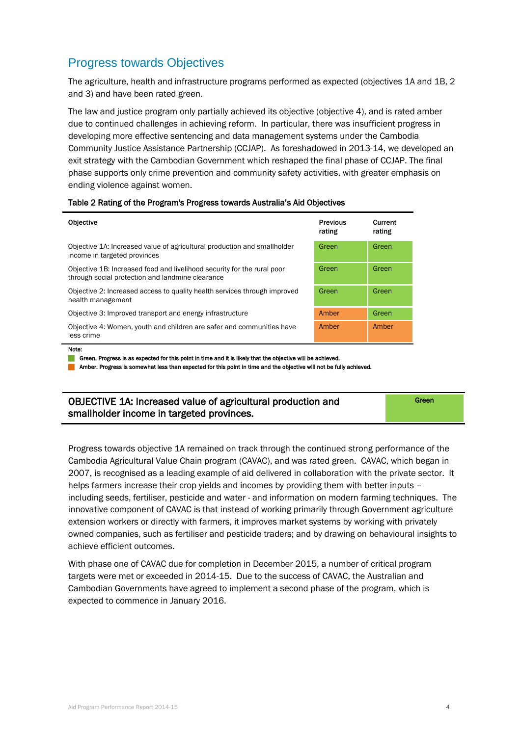## Progress towards Objectives

The agriculture, health and infrastructure programs performed as expected (objectives 1A and 1B, 2 and 3) and have been rated green.

The law and justice program only partially achieved its objective (objective 4), and is rated amber due to continued challenges in achieving reform. In particular, there was insufficient progress in developing more effective sentencing and data management systems under the Cambodia Community Justice Assistance Partnership (CCJAP). As foreshadowed in 2013-14, we developed an exit strategy with the Cambodian Government which reshaped the final phase of CCJAP. The final phase supports only crime prevention and community safety activities, with greater emphasis on ending violence against women.

#### Table 2 Rating of the Program's Progress towards Australia's Aid Objectives

| <b>Objective</b>                                                                                                            | <b>Previous</b><br>rating | Current<br>rating |
|-----------------------------------------------------------------------------------------------------------------------------|---------------------------|-------------------|
| Objective 1A: Increased value of agricultural production and smallholder<br>income in targeted provinces                    | Green                     | Green             |
| Objective 1B: Increased food and livelihood security for the rural poor<br>through social protection and landmine clearance | Green                     | Green             |
| Objective 2: Increased access to quality health services through improved<br>health management                              | Green                     | Green             |
| Objective 3: Improved transport and energy infrastructure                                                                   | Amber                     | Green             |
| Objective 4: Women, youth and children are safer and communities have<br>less crime                                         | Amber                     | Amber             |
| Note:                                                                                                                       |                           |                   |

Green. Progress is as expected for this point in time and it is likely that the objective will be achieved.

Amber. Progress is somewhat less than expected for this point in time and the objective will not be fully achieved.

| OBJECTIVE 1A: Increased value of agricultural production and | Green |
|--------------------------------------------------------------|-------|
| smallholder income in targeted provinces.                    |       |

Progress towards objective 1A remained on track through the continued strong performance of the Cambodia Agricultural Value Chain program (CAVAC), and was rated green. CAVAC, which began in 2007, is recognised as a leading example of aid delivered in collaboration with the private sector. It helps farmers increase their crop yields and incomes by providing them with better inputs – including seeds, fertiliser, pesticide and water - and information on modern farming techniques. The innovative component of CAVAC is that instead of working primarily through Government agriculture extension workers or directly with farmers, it improves market systems by working with privately owned companies, such as fertiliser and pesticide traders; and by drawing on behavioural insights to achieve efficient outcomes.

With phase one of CAVAC due for completion in December 2015, a number of critical program targets were met or exceeded in 2014-15. Due to the success of CAVAC, the Australian and Cambodian Governments have agreed to implement a second phase of the program, which is expected to commence in January 2016.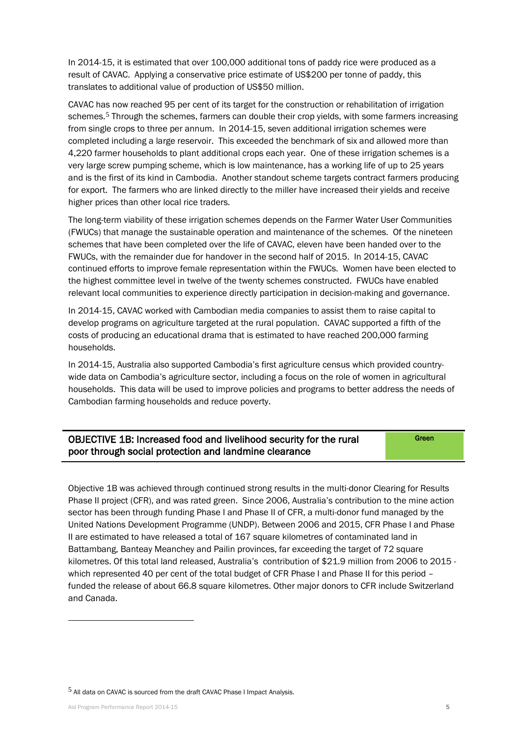In 2014-15, it is estimated that over 100,000 additional tons of paddy rice were produced as a result of CAVAC. Applying a conservative price estimate of US\$200 per tonne of paddy, this translates to additional value of production of US\$50 million.

CAVAC has now reached 95 per cent of its target for the construction or rehabilitation of irrigation schemes.<sup>[5](#page-5-0)</sup> Through the schemes, farmers can double their crop yields, with some farmers increasing from single crops to three per annum. In 2014-15, seven additional irrigation schemes were completed including a large reservoir. This exceeded the benchmark of six and allowed more than 4,220 farmer households to plant additional crops each year. One of these irrigation schemes is a very large screw pumping scheme, which is low maintenance, has a working life of up to 25 years and is the first of its kind in Cambodia. Another standout scheme targets contract farmers producing for export. The farmers who are linked directly to the miller have increased their yields and receive higher prices than other local rice traders.

The long-term viability of these irrigation schemes depends on the Farmer Water User Communities (FWUCs) that manage the sustainable operation and maintenance of the schemes. Of the nineteen schemes that have been completed over the life of CAVAC, eleven have been handed over to the FWUCs, with the remainder due for handover in the second half of 2015. In 2014-15, CAVAC continued efforts to improve female representation within the FWUCs. Women have been elected to the highest committee level in twelve of the twenty schemes constructed. FWUCs have enabled relevant local communities to experience directly participation in decision-making and governance.

In 2014-15, CAVAC worked with Cambodian media companies to assist them to raise capital to develop programs on agriculture targeted at the rural population. CAVAC supported a fifth of the costs of producing an educational drama that is estimated to have reached 200,000 farming households.

In 2014-15, Australia also supported Cambodia's first agriculture census which provided countrywide data on Cambodia's agriculture sector, including a focus on the role of women in agricultural households. This data will be used to improve policies and programs to better address the needs of Cambodian farming households and reduce poverty.

| OBJECTIVE 1B: Increased food and livelihood security for the rural | Green |
|--------------------------------------------------------------------|-------|
| poor through social protection and landmine clearance              |       |

Objective 1B was achieved through continued strong results in the multi-donor Clearing for Results Phase II project (CFR), and was rated green. Since 2006, Australia's contribution to the mine action sector has been through funding Phase I and Phase II of CFR, a multi-donor fund managed by the United Nations Development Programme (UNDP). Between 2006 and 2015, CFR Phase I and Phase II are estimated to have released a total of 167 square kilometres of contaminated land in Battambang, Banteay Meanchey and Pailin provinces, far exceeding the target of 72 square kilometres. Of this total land released, Australia's contribution of \$21.9 million from 2006 to 2015 which represented 40 per cent of the total budget of CFR Phase I and Phase II for this period – funded the release of about 66.8 square kilometres. Other major donors to CFR include Switzerland and Canada.

-

<span id="page-5-0"></span><sup>5</sup> All data on CAVAC is sourced from the draft CAVAC Phase I Impact Analysis.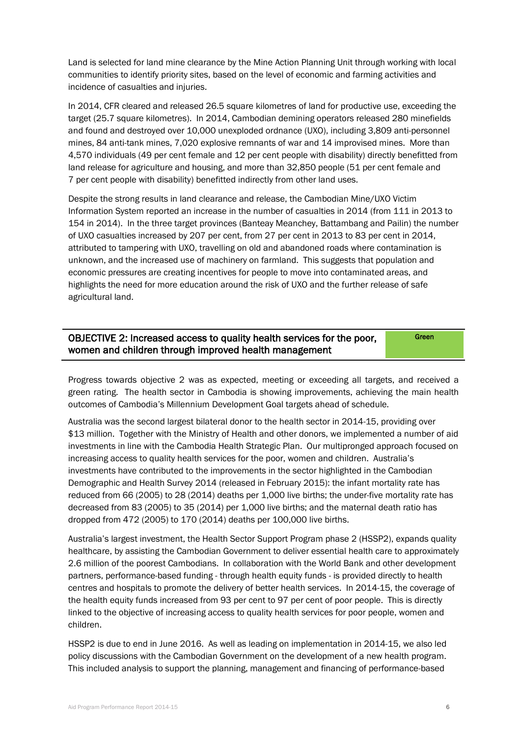Land is selected for land mine clearance by the Mine Action Planning Unit through working with local communities to identify priority sites, based on the level of economic and farming activities and incidence of casualties and injuries.

In 2014, CFR cleared and released 26.5 square kilometres of land for productive use, exceeding the target (25.7 square kilometres). In 2014, Cambodian demining operators released 280 minefields and found and destroyed over 10,000 unexploded ordnance (UXO), including 3,809 anti-personnel mines, 84 anti-tank mines, 7,020 explosive remnants of war and 14 improvised mines. More than 4,570 individuals (49 per cent female and 12 per cent people with disability) directly benefitted from land release for agriculture and housing, and more than 32,850 people (51 per cent female and 7 per cent people with disability) benefitted indirectly from other land uses.

Despite the strong results in land clearance and release, the Cambodian Mine/UXO Victim Information System reported an increase in the number of casualties in 2014 (from 111 in 2013 to 154 in 2014). In the three target provinces (Banteay Meanchey, Battambang and Pailin) the number of UXO casualties increased by 207 per cent, from 27 per cent in 2013 to 83 per cent in 2014, attributed to tampering with UXO, travelling on old and abandoned roads where contamination is unknown, and the increased use of machinery on farmland. This suggests that population and economic pressures are creating incentives for people to move into contaminated areas, and highlights the need for more education around the risk of UXO and the further release of safe agricultural land.

## OBJECTIVE 2: Increased access to quality health services for the poor, women and children through improved health management

**Green** 

Progress towards objective 2 was as expected, meeting or exceeding all targets, and received a green rating. The health sector in Cambodia is showing improvements, achieving the main health outcomes of Cambodia's Millennium Development Goal targets ahead of schedule.

Australia was the second largest bilateral donor to the health sector in 2014-15, providing over \$13 million. Together with the Ministry of Health and other donors, we implemented a number of aid investments in line with the Cambodia Health Strategic Plan. Our multipronged approach focused on increasing access to quality health services for the poor, women and children. Australia's investments have contributed to the improvements in the sector highlighted in the Cambodian Demographic and Health Survey 2014 (released in February 2015): the infant mortality rate has reduced from 66 (2005) to 28 (2014) deaths per 1,000 live births; the under-five mortality rate has decreased from 83 (2005) to 35 (2014) per 1,000 live births; and the maternal death ratio has dropped from 472 (2005) to 170 (2014) deaths per 100,000 live births.

Australia's largest investment, the Health Sector Support Program phase 2 (HSSP2), expands quality healthcare, by assisting the Cambodian Government to deliver essential health care to approximately 2.6 million of the poorest Cambodians. In collaboration with the World Bank and other development partners, performance-based funding - through health equity funds - is provided directly to health centres and hospitals to promote the delivery of better health services. In 2014-15, the coverage of the health equity funds increased from 93 per cent to 97 per cent of poor people. This is directly linked to the objective of increasing access to quality health services for poor people, women and children.

HSSP2 is due to end in June 2016. As well as leading on implementation in 2014-15, we also led policy discussions with the Cambodian Government on the development of a new health program. This included analysis to support the planning, management and financing of performance-based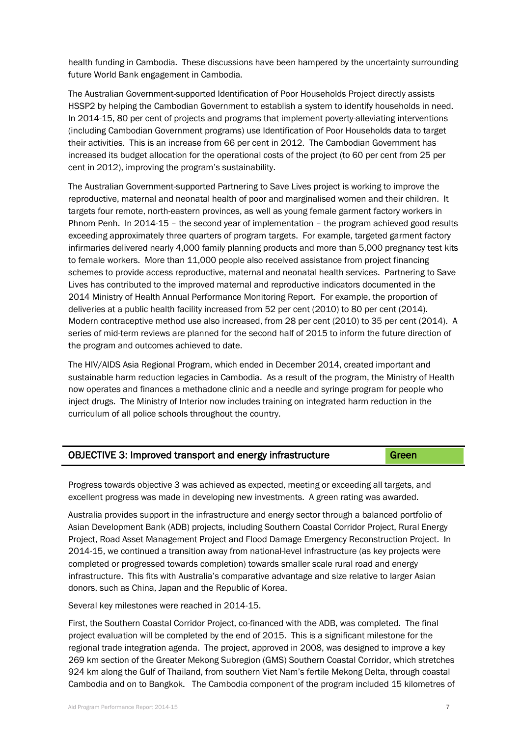health funding in Cambodia. These discussions have been hampered by the uncertainty surrounding future World Bank engagement in Cambodia.

The Australian Government-supported Identification of Poor Households Project directly assists HSSP2 by helping the Cambodian Government to establish a system to identify households in need. In 2014-15, 80 per cent of projects and programs that implement poverty-alleviating interventions (including Cambodian Government programs) use Identification of Poor Households data to target their activities. This is an increase from 66 per cent in 2012. The Cambodian Government has increased its budget allocation for the operational costs of the project (to 60 per cent from 25 per cent in 2012), improving the program's sustainability.

The Australian Government-supported Partnering to Save Lives project is working to improve the reproductive, maternal and neonatal health of poor and marginalised women and their children. It targets four remote, north-eastern provinces, as well as young female garment factory workers in Phnom Penh. In 2014-15 – the second year of implementation – the program achieved good results exceeding approximately three quarters of program targets. For example, targeted garment factory infirmaries delivered nearly 4,000 family planning products and more than 5,000 pregnancy test kits to female workers. More than 11,000 people also received assistance from project financing schemes to provide access reproductive, maternal and neonatal health services. Partnering to Save Lives has contributed to the improved maternal and reproductive indicators documented in the 2014 Ministry of Health Annual Performance Monitoring Report. For example, the proportion of deliveries at a public health facility increased from 52 per cent (2010) to 80 per cent (2014). Modern contraceptive method use also increased, from 28 per cent (2010) to 35 per cent (2014). A series of mid-term reviews are planned for the second half of 2015 to inform the future direction of the program and outcomes achieved to date.

The HIV/AIDS Asia Regional Program, which ended in December 2014, created important and sustainable harm reduction legacies in Cambodia. As a result of the program, the Ministry of Health now operates and finances a methadone clinic and a needle and syringe program for people who inject drugs. The Ministry of Interior now includes training on integrated harm reduction in the curriculum of all police schools throughout the country.

| OBJECTIVE 3: Improved transport and energy infrastructure | Green |
|-----------------------------------------------------------|-------|
|-----------------------------------------------------------|-------|

Progress towards objective 3 was achieved as expected, meeting or exceeding all targets, and excellent progress was made in developing new investments. A green rating was awarded.

Australia provides support in the infrastructure and energy sector through a balanced portfolio of Asian Development Bank (ADB) projects, including Southern Coastal Corridor Project, Rural Energy Project, Road Asset Management Project and Flood Damage Emergency Reconstruction Project. In 2014-15, we continued a transition away from national-level infrastructure (as key projects were completed or progressed towards completion) towards smaller scale rural road and energy infrastructure. This fits with Australia's comparative advantage and size relative to larger Asian donors, such as China, Japan and the Republic of Korea.

Several key milestones were reached in 2014-15.

First, the Southern Coastal Corridor Project, co-financed with the ADB, was completed. The final project evaluation will be completed by the end of 2015. This is a significant milestone for the regional trade integration agenda. The project, approved in 2008, was designed to improve a key 269 km section of the Greater Mekong Subregion (GMS) Southern Coastal Corridor, which stretches 924 km along the Gulf of Thailand, from southern Viet Nam's fertile Mekong Delta, through coastal Cambodia and on to Bangkok. The Cambodia component of the program included 15 kilometres of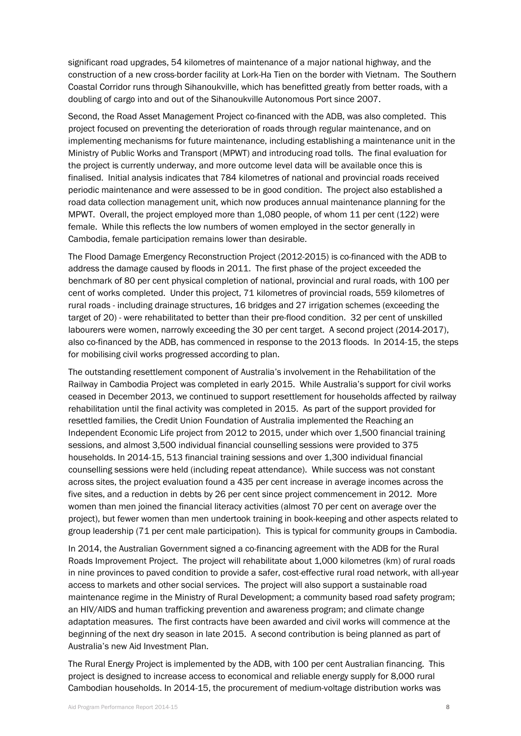significant road upgrades, 54 kilometres of maintenance of a major national highway, and the construction of a new cross-border facility at Lork-Ha Tien on the border with Vietnam. The Southern Coastal Corridor runs through Sihanoukville, which has benefitted greatly from better roads, with a doubling of cargo into and out of the Sihanoukville Autonomous Port since 2007.

Second, the Road Asset Management Project co-financed with the ADB, was also completed. This project focused on preventing the deterioration of roads through regular maintenance, and on implementing mechanisms for future maintenance, including establishing a maintenance unit in the Ministry of Public Works and Transport (MPWT) and introducing road tolls. The final evaluation for the project is currently underway, and more outcome level data will be available once this is finalised. Initial analysis indicates that 784 kilometres of national and provincial roads received periodic maintenance and were assessed to be in good condition. The project also established a road data collection management unit, which now produces annual maintenance planning for the MPWT. Overall, the project employed more than 1,080 people, of whom 11 per cent (122) were female. While this reflects the low numbers of women employed in the sector generally in Cambodia, female participation remains lower than desirable.

The Flood Damage Emergency Reconstruction Project (2012-2015) is co-financed with the ADB to address the damage caused by floods in 2011. The first phase of the project exceeded the benchmark of 80 per cent physical completion of national, provincial and rural roads, with 100 per cent of works completed. Under this project, 71 kilometres of provincial roads, 559 kilometres of rural roads - including drainage structures, 16 bridges and 27 irrigation schemes (exceeding the target of 20) - were rehabilitated to better than their pre-flood condition. 32 per cent of unskilled labourers were women, narrowly exceeding the 30 per cent target. A second project (2014-2017), also co-financed by the ADB, has commenced in response to the 2013 floods. In 2014-15, the steps for mobilising civil works progressed according to plan.

The outstanding resettlement component of Australia's involvement in the Rehabilitation of the Railway in Cambodia Project was completed in early 2015. While Australia's support for civil works ceased in December 2013, we continued to support resettlement for households affected by railway rehabilitation until the final activity was completed in 2015. As part of the support provided for resettled families, the Credit Union Foundation of Australia implemented the Reaching an Independent Economic Life project from 2012 to 2015, under which over 1,500 financial training sessions, and almost 3,500 individual financial counselling sessions were provided to 375 households. In 2014-15, 513 financial training sessions and over 1,300 individual financial counselling sessions were held (including repeat attendance). While success was not constant across sites, the project evaluation found a 435 per cent increase in average incomes across the five sites, and a reduction in debts by 26 per cent since project commencement in 2012. More women than men joined the financial literacy activities (almost 70 per cent on average over the project), but fewer women than men undertook training in book-keeping and other aspects related to group leadership (71 per cent male participation). This is typical for community groups in Cambodia.

In 2014, the Australian Government signed a co-financing agreement with the ADB for the Rural Roads Improvement Project. The project will rehabilitate about 1,000 kilometres (km) of rural roads in nine provinces to paved condition to provide a safer, cost-effective rural road network, with all-year access to markets and other social services. The project will also support a sustainable road maintenance regime in the Ministry of Rural Development; a community based road safety program; an HIV/AIDS and human trafficking prevention and awareness program; and climate change adaptation measures. The first contracts have been awarded and civil works will commence at the beginning of the next dry season in late 2015. A second contribution is being planned as part of Australia's new Aid Investment Plan.

The Rural Energy Project is implemented by the ADB, with 100 per cent Australian financing. This project is designed to increase access to economical and reliable energy supply for 8,000 rural Cambodian households. In 2014-15, the procurement of medium-voltage distribution works was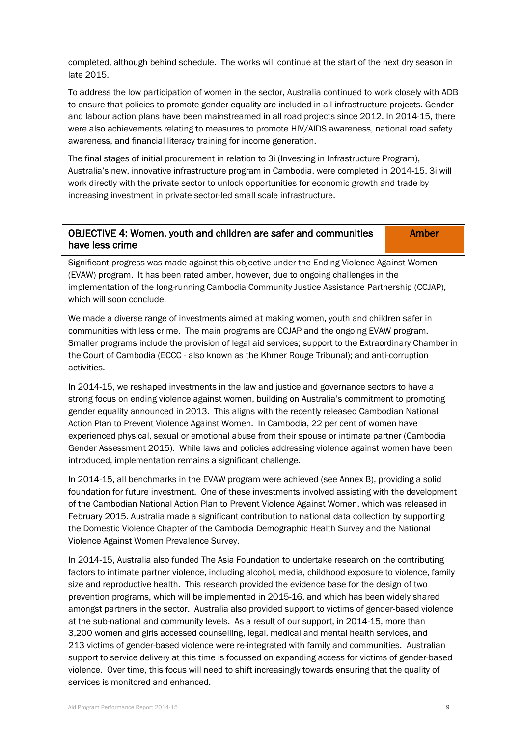completed, although behind schedule. The works will continue at the start of the next dry season in late 2015.

To address the low participation of women in the sector, Australia continued to work closely with ADB to ensure that policies to promote gender equality are included in all infrastructure projects. Gender and labour action plans have been mainstreamed in all road projects since 2012. In 2014-15, there were also achievements relating to measures to promote HIV/AIDS awareness, national road safety awareness, and financial literacy training for income generation.

The final stages of initial procurement in relation to 3i (Investing in Infrastructure Program), Australia's new, innovative infrastructure program in Cambodia, were completed in 2014-15. 3i will work directly with the private sector to unlock opportunities for economic growth and trade by increasing investment in private sector-led small scale infrastructure.

| <b>OBJECTIVE 4: Women, youth and children are safer and communities</b> | <b>Amber</b> |
|-------------------------------------------------------------------------|--------------|
| have less crime                                                         |              |

Significant progress was made against this objective under the Ending Violence Against Women (EVAW) program. It has been rated amber, however, due to ongoing challenges in the implementation of the long-running Cambodia Community Justice Assistance Partnership (CCJAP), which will soon conclude.

We made a diverse range of investments aimed at making women, youth and children safer in communities with less crime. The main programs are CCJAP and the ongoing EVAW program. Smaller programs include the provision of legal aid services; support to the Extraordinary Chamber in the Court of Cambodia (ECCC - also known as the Khmer Rouge Tribunal); and anti-corruption activities.

In 2014-15, we reshaped investments in the law and justice and governance sectors to have a strong focus on ending violence against women, building on Australia's commitment to promoting gender equality announced in 2013. This aligns with the recently released Cambodian National Action Plan to Prevent Violence Against Women. In Cambodia, 22 per cent of women have experienced physical, sexual or emotional abuse from their spouse or intimate partner (Cambodia Gender Assessment 2015). While laws and policies addressing violence against women have been introduced, implementation remains a significant challenge.

In 2014-15, all benchmarks in the EVAW program were achieved (see Annex B), providing a solid foundation for future investment. One of these investments involved assisting with the development of the Cambodian National Action Plan to Prevent Violence Against Women, which was released in February 2015. Australia made a significant contribution to national data collection by supporting the Domestic Violence Chapter of the Cambodia Demographic Health Survey and the National Violence Against Women Prevalence Survey.

In 2014-15, Australia also funded The Asia Foundation to undertake research on the contributing factors to intimate partner violence, including alcohol, media, childhood exposure to violence, family size and reproductive health. This research provided the evidence base for the design of two prevention programs, which will be implemented in 2015-16, and which has been widely shared amongst partners in the sector. Australia also provided support to victims of gender-based violence at the sub-national and community levels. As a result of our support, in 2014-15, more than 3,200 women and girls accessed counselling, legal, medical and mental health services, and 213 victims of gender-based violence were re-integrated with family and communities. Australian support to service delivery at this time is focussed on expanding access for victims of gender-based violence. Over time, this focus will need to shift increasingly towards ensuring that the quality of services is monitored and enhanced.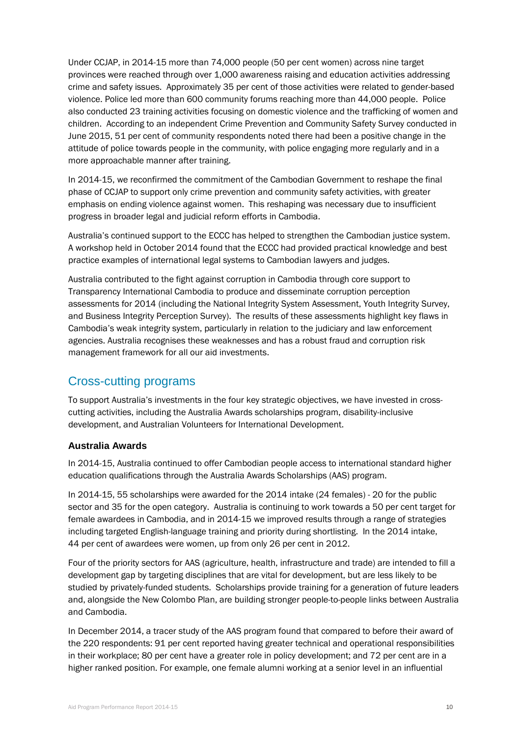Under CCJAP, in 2014-15 more than 74,000 people (50 per cent women) across nine target provinces were reached through over 1,000 awareness raising and education activities addressing crime and safety issues. Approximately 35 per cent of those activities were related to gender-based violence. Police led more than 600 community forums reaching more than 44,000 people. Police also conducted 23 training activities focusing on domestic violence and the trafficking of women and children. According to an independent Crime Prevention and Community Safety Survey conducted in June 2015, 51 per cent of community respondents noted there had been a positive change in the attitude of police towards people in the community, with police engaging more regularly and in a more approachable manner after training.

In 2014-15, we reconfirmed the commitment of the Cambodian Government to reshape the final phase of CCJAP to support only crime prevention and community safety activities, with greater emphasis on ending violence against women. This reshaping was necessary due to insufficient progress in broader legal and judicial reform efforts in Cambodia.

Australia's continued support to the ECCC has helped to strengthen the Cambodian justice system. A workshop held in October 2014 found that the ECCC had provided practical knowledge and best practice examples of international legal systems to Cambodian lawyers and judges.

Australia contributed to the fight against corruption in Cambodia through core support to Transparency International Cambodia to produce and disseminate corruption perception assessments for 2014 (including the National Integrity System Assessment, Youth Integrity Survey, and Business Integrity Perception Survey). The results of these assessments highlight key flaws in Cambodia's weak integrity system, particularly in relation to the judiciary and law enforcement agencies. Australia recognises these weaknesses and has a robust fraud and corruption risk management framework for all our aid investments.

## Cross-cutting programs

To support Australia's investments in the four key strategic objectives, we have invested in crosscutting activities, including the Australia Awards scholarships program, disability-inclusive development, and Australian Volunteers for International Development.

### **Australia Awards**

In 2014-15, Australia continued to offer Cambodian people access to international standard higher education qualifications through the Australia Awards Scholarships (AAS) program.

In 2014-15, 55 scholarships were awarded for the 2014 intake (24 females) - 20 for the public sector and 35 for the open category. Australia is continuing to work towards a 50 per cent target for female awardees in Cambodia, and in 2014-15 we improved results through a range of strategies including targeted English-language training and priority during shortlisting. In the 2014 intake, 44 per cent of awardees were women, up from only 26 per cent in 2012.

Four of the priority sectors for AAS (agriculture, health, infrastructure and trade) are intended to fill a development gap by targeting disciplines that are vital for development, but are less likely to be studied by privately-funded students. Scholarships provide training for a generation of future leaders and, alongside the New Colombo Plan, are building stronger people-to-people links between Australia and Cambodia.

In December 2014, a tracer study of the AAS program found that compared to before their award of the 220 respondents: 91 per cent reported having greater technical and operational responsibilities in their workplace; 80 per cent have a greater role in policy development; and 72 per cent are in a higher ranked position. For example, one female alumni working at a senior level in an influential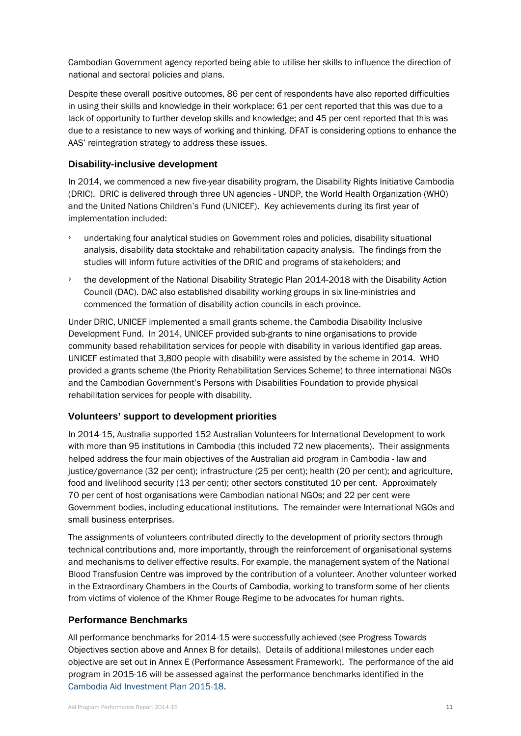Cambodian Government agency reported being able to utilise her skills to influence the direction of national and sectoral policies and plans.

Despite these overall positive outcomes, 86 per cent of respondents have also reported difficulties in using their skills and knowledge in their workplace: 61 per cent reported that this was due to a lack of opportunity to further develop skills and knowledge; and 45 per cent reported that this was due to a resistance to new ways of working and thinking. DFAT is considering options to enhance the AAS' reintegration strategy to address these issues.

#### **Disability-inclusive development**

In 2014, we commenced a new five-year disability program, the Disability Rights Initiative Cambodia (DRIC). DRIC is delivered through three UN agencies - UNDP, the World Health Organization (WHO) and the United Nations Children's Fund (UNICEF). Key achievements during its first year of implementation included:

- undertaking four analytical studies on Government roles and policies, disability situational analysis, disability data stocktake and rehabilitation capacity analysis. The findings from the studies will inform future activities of the DRIC and programs of stakeholders; and
- the development of the National Disability Strategic Plan 2014-2018 with the Disability Action Council (DAC). DAC also established disability working groups in six line-ministries and commenced the formation of disability action councils in each province.

Under DRIC, UNICEF implemented a small grants scheme, the Cambodia Disability Inclusive Development Fund. In 2014, UNICEF provided sub-grants to nine organisations to provide community based rehabilitation services for people with disability in various identified gap areas. UNICEF estimated that 3,800 people with disability were assisted by the scheme in 2014. WHO provided a grants scheme (the Priority Rehabilitation Services Scheme) to three international NGOs and the Cambodian Government's Persons with Disabilities Foundation to provide physical rehabilitation services for people with disability.

#### **Volunteers' support to development priorities**

In 2014-15, Australia supported 152 Australian Volunteers for International Development to work with more than 95 institutions in Cambodia (this included 72 new placements). Their assignments helped address the four main objectives of the Australian aid program in Cambodia - law and justice/governance (32 per cent); infrastructure (25 per cent); health (20 per cent); and agriculture, food and livelihood security (13 per cent); other sectors constituted 10 per cent. Approximately 70 per cent of host organisations were Cambodian national NGOs; and 22 per cent were Government bodies, including educational institutions. The remainder were International NGOs and small business enterprises.

The assignments of volunteers contributed directly to the development of priority sectors through technical contributions and, more importantly, through the reinforcement of organisational systems and mechanisms to deliver effective results. For example, the management system of the National Blood Transfusion Centre was improved by the contribution of a volunteer. Another volunteer worked in the Extraordinary Chambers in the Courts of Cambodia, working to transform some of her clients from victims of violence of the Khmer Rouge Regime to be advocates for human rights.

#### **Performance Benchmarks**

All performance benchmarks for 2014-15 were successfully achieved (see Progress Towards Objectives section above and Annex B for details). Details of additional milestones under each objective are set out in Annex E (Performance Assessment Framework). The performance of the aid program in 2015-16 will be assessed against the performance benchmarks identified in the Cambodia [Aid Investment Plan 2015-18.](http://dfat.gov.au/about-us/publications/Pages/aid-investment-plan-aip-cambodia-2015-2018.aspx)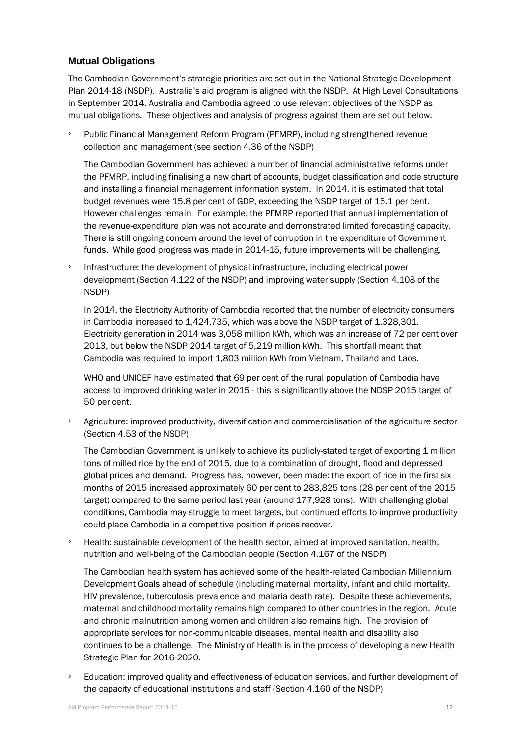## **Mutual Obligations**

The Cambodian Government's strategic priorities are set out in the National Strategic Development Plan 2014-18 (NSDP). Australia's aid program is aligned with the NSDP. At High Level Consultations in September 2014, Australia and Cambodia agreed to use relevant objectives of the NSDP as mutual obligations. These objectives and analysis of progress against them are set out below.

Public Financial Management Reform Program (PFMRP), including strengthened revenue collection and management (see section 4.36 of the NSDP)

The Cambodian Government has achieved a number of financial administrative reforms under the PFMRP, including finalising a new chart of accounts, budget classification and code structure and installing a financial management information system. In 2014, it is estimated that total budget revenues were 15.8 per cent of GDP, exceeding the NSDP target of 15.1 per cent. However challenges remain. For example, the PFMRP reported that annual implementation of the revenue-expenditure plan was not accurate and demonstrated limited forecasting capacity. There is still ongoing concern around the level of corruption in the expenditure of Government funds. While good progress was made in 2014-15, future improvements will be challenging.

Infrastructure: the development of physical infrastructure, including electrical power development (Section 4.122 of the NSDP) and improving water supply (Section 4.108 of the NSDP)

In 2014, the Electricity Authority of Cambodia reported that the number of electricity consumers in Cambodia increased to 1,424,735, which was above the NSDP target of 1,328,301. Electricity generation in 2014 was 3,058 million kWh, which was an increase of 72 per cent over 2013, but below the NSDP 2014 target of 5,219 million kWh. This shortfall meant that Cambodia was required to import 1,803 million kWh from Vietnam, Thailand and Laos.

WHO and UNICEF have estimated that 69 per cent of the rural population of Cambodia have access to improved drinking water in 2015 - this is significantly above the NDSP 2015 target of 50 per cent.

Agriculture: improved productivity, diversification and commercialisation of the agriculture sector (Section 4.53 of the NSDP)

The Cambodian Government is unlikely to achieve its publicly-stated target of exporting 1 million tons of milled rice by the end of 2015, due to a combination of drought, flood and depressed global prices and demand. Progress has, however, been made: the export of rice in the first six months of 2015 increased approximately 60 per cent to 283,825 tons (28 per cent of the 2015 target) compared to the same period last year (around 177,928 tons). With challenging global conditions, Cambodia may struggle to meet targets, but continued efforts to improve productivity could place Cambodia in a competitive position if prices recover.

› Health: sustainable development of the health sector, aimed at improved sanitation, health, nutrition and well-being of the Cambodian people (Section 4.167 of the NSDP)

The Cambodian health system has achieved some of the health-related Cambodian Millennium Development Goals ahead of schedule (including maternal mortality, infant and child mortality, HIV prevalence, tuberculosis prevalence and malaria death rate). Despite these achievements, maternal and childhood mortality remains high compared to other countries in the region. Acute and chronic malnutrition among women and children also remains high. The provision of appropriate services for non-communicable diseases, mental health and disability also continues to be a challenge. The Ministry of Health is in the process of developing a new Health Strategic Plan for 2016-2020.

Education: improved quality and effectiveness of education services, and further development of the capacity of educational institutions and staff (Section 4.160 of the NSDP)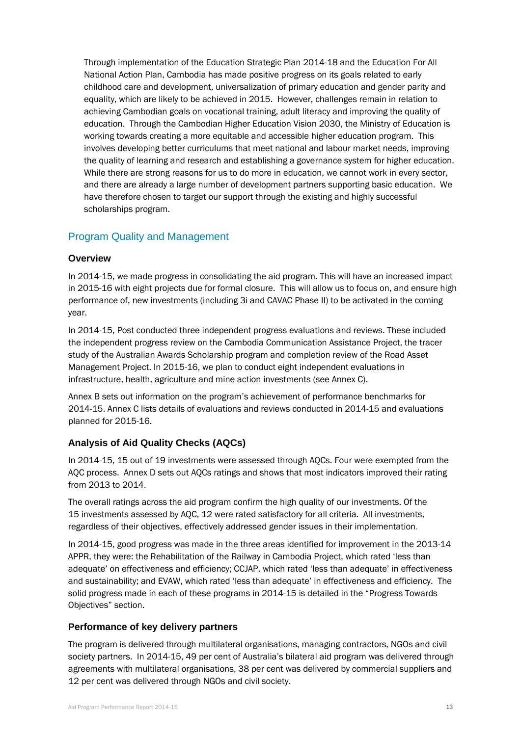Through implementation of the Education Strategic Plan 2014-18 and the Education For All National Action Plan, Cambodia has made positive progress on its goals related to early childhood care and development, universalization of primary education and gender parity and equality, which are likely to be achieved in 2015. However, challenges remain in relation to achieving Cambodian goals on vocational training, adult literacy and improving the quality of education. Through the Cambodian Higher Education Vision 2030, the Ministry of Education is working towards creating a more equitable and accessible higher education program. This involves developing better curriculums that meet national and labour market needs, improving the quality of learning and research and establishing a governance system for higher education. While there are strong reasons for us to do more in education, we cannot work in every sector, and there are already a large number of development partners supporting basic education. We have therefore chosen to target our support through the existing and highly successful scholarships program.

## Program Quality and Management

### **Overview**

In 2014-15, we made progress in consolidating the aid program. This will have an increased impact in 2015-16 with eight projects due for formal closure. This will allow us to focus on, and ensure high performance of, new investments (including 3i and CAVAC Phase II) to be activated in the coming year.

In 2014-15, Post conducted three independent progress evaluations and reviews. These included the independent progress review on the Cambodia Communication Assistance Project, the tracer study of the Australian Awards Scholarship program and completion review of the Road Asset Management Project. In 2015-16, we plan to conduct eight independent evaluations in infrastructure, health, agriculture and mine action investments (see Annex C).

Annex B sets out information on the program's achievement of performance benchmarks for 2014-15. Annex C lists details of evaluations and reviews conducted in 2014-15 and evaluations planned for 2015-16.

## **Analysis of Aid Quality Checks (AQCs)**

In 2014-15, 15 out of 19 investments were assessed through AQCs. Four were exempted from the AQC process. Annex D sets out AQCs ratings and shows that most indicators improved their rating from 2013 to 2014.

The overall ratings across the aid program confirm the high quality of our investments. Of the 15 investments assessed by AQC, 12 were rated satisfactory for all criteria. All investments, regardless of their objectives, effectively addressed gender issues in their implementation.

In 2014-15, good progress was made in the three areas identified for improvement in the 2013-14 APPR, they were: the Rehabilitation of the Railway in Cambodia Project, which rated 'less than adequate' on effectiveness and efficiency; CCJAP, which rated 'less than adequate' in effectiveness and sustainability; and EVAW, which rated 'less than adequate' in effectiveness and efficiency. The solid progress made in each of these programs in 2014-15 is detailed in the "Progress Towards Objectives" section.

### **Performance of key delivery partners**

The program is delivered through multilateral organisations, managing contractors, NGOs and civil society partners. In 2014-15, 49 per cent of Australia's bilateral aid program was delivered through agreements with multilateral organisations, 38 per cent was delivered by commercial suppliers and 12 per cent was delivered through NGOs and civil society.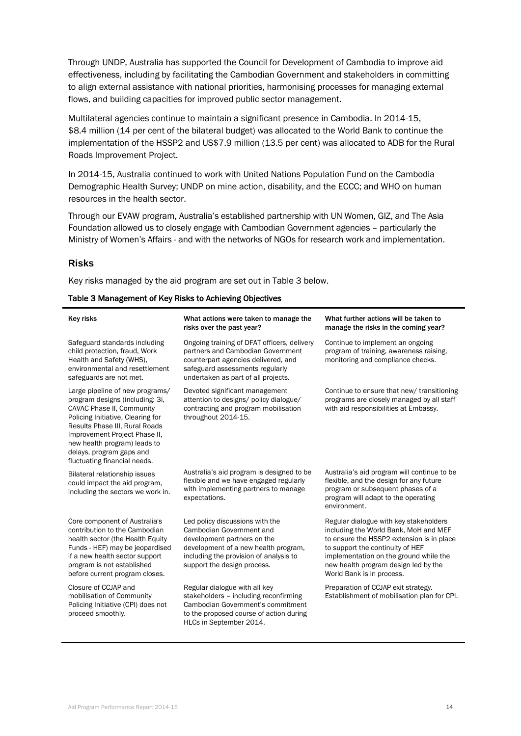Through UNDP, Australia has supported the Council for Development of Cambodia to improve aid effectiveness, including by facilitating the Cambodian Government and stakeholders in committing to align external assistance with national priorities, harmonising processes for managing external flows, and building capacities for improved public sector management.

Multilateral agencies continue to maintain a significant presence in Cambodia. In 2014-15, \$8.4 million (14 per cent of the bilateral budget) was allocated to the World Bank to continue the implementation of the HSSP2 and US\$7.9 million (13.5 per cent) was allocated to ADB for the Rural Roads Improvement Project.

In 2014-15, Australia continued to work with United Nations Population Fund on the Cambodia Demographic Health Survey; UNDP on mine action, disability, and the ECCC; and WHO on human resources in the health sector.

Through our EVAW program, Australia's established partnership with UN Women, GIZ, and The Asia Foundation allowed us to closely engage with Cambodian Government agencies – particularly the Ministry of Women's Affairs - and with the networks of NGOs for research work and implementation.

#### **Risks**

Key risks managed by the aid program are set out in Table 3 below.

#### Table 3 Management of Key Risks to Achieving Objectives

| <b>Key risks</b>                                                                                                                                                                                                                                                                                    | What actions were taken to manage the<br>risks over the past year?                                                                                                                                          | What further actions will be taken to<br>manage the risks in the coming year?                                                                                                                                                                                                   |  |
|-----------------------------------------------------------------------------------------------------------------------------------------------------------------------------------------------------------------------------------------------------------------------------------------------------|-------------------------------------------------------------------------------------------------------------------------------------------------------------------------------------------------------------|---------------------------------------------------------------------------------------------------------------------------------------------------------------------------------------------------------------------------------------------------------------------------------|--|
| Safeguard standards including<br>child protection, fraud, Work<br>Health and Safety (WHS).<br>environmental and resettlement<br>safeguards are not met.                                                                                                                                             | Ongoing training of DFAT officers, delivery<br>partners and Cambodian Government<br>counterpart agencies delivered, and<br>safeguard assessments regularly<br>undertaken as part of all projects.           | Continue to implement an ongoing<br>program of training, awareness raising,<br>monitoring and compliance checks.                                                                                                                                                                |  |
| Large pipeline of new programs/<br>program designs (including: 3i,<br>CAVAC Phase II, Community<br>Policing Initiative, Clearing for<br>Results Phase III, Rural Roads<br>Improvement Project Phase II,<br>new health program) leads to<br>delays, program gaps and<br>fluctuating financial needs. | Devoted significant management<br>attention to designs/ policy dialogue/<br>contracting and program mobilisation<br>throughout 2014-15.                                                                     | Continue to ensure that new/ transitioning<br>programs are closely managed by all staff<br>with aid responsibilities at Embassy.                                                                                                                                                |  |
| Bilateral relationship issues<br>could impact the aid program,<br>including the sectors we work in.                                                                                                                                                                                                 | Australia's aid program is designed to be<br>flexible and we have engaged regularly<br>with implementing partners to manage<br>expectations.                                                                | Australia's aid program will continue to be<br>flexible, and the design for any future<br>program or subsequent phases of a<br>program will adapt to the operating<br>environment.                                                                                              |  |
| Core component of Australia's<br>contribution to the Cambodian<br>health sector (the Health Equity<br>Funds - HEF) may be jeopardised<br>if a new health sector support<br>program is not established<br>before current program closes.                                                             | Led policy discussions with the<br>Cambodian Government and<br>development partners on the<br>development of a new health program,<br>including the provision of analysis to<br>support the design process. | Regular dialogue with key stakeholders<br>including the World Bank, MoH and MEF<br>to ensure the HSSP2 extension is in place<br>to support the continuity of HEF<br>implementation on the ground while the<br>new health program design led by the<br>World Bank is in process. |  |
| Closure of CCJAP and<br>mobilisation of Community<br>Policing Initiative (CPI) does not<br>proceed smoothly.                                                                                                                                                                                        | Regular dialogue with all key<br>stakeholders - including reconfirming<br>Cambodian Government's commitment<br>to the proposed course of action during<br>HLCs in September 2014.                           | Preparation of CCJAP exit strategy.<br>Establishment of mobilisation plan for CPI.                                                                                                                                                                                              |  |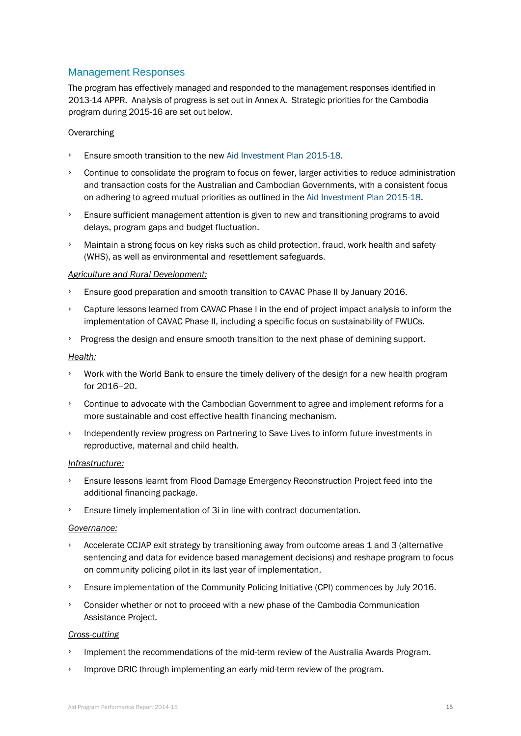## Management Responses

The program has effectively managed and responded to the management responses identified in 2013-14 APPR. Analysis of progress is set out in Annex A. Strategic priorities for the Cambodia program during 2015-16 are set out below.

#### **Overarching**

- Ensure smooth transition to the new [Aid Investment Plan 2015-18.](http://dfat.gov.au/about-us/publications/Pages/aid-investment-plan-aip-cambodia-2015-2018.aspx)
- › Continue to consolidate the program to focus on fewer, larger activities to reduce administration and transaction costs for the Australian and Cambodian Governments, with a consistent focus on adhering to agreed mutual priorities as outlined in th[e Aid Investment Plan 2015-18.](http://dfat.gov.au/about-us/publications/Pages/aid-investment-plan-aip-cambodia-2015-2018.aspx)
- › Ensure sufficient management attention is given to new and transitioning programs to avoid delays, program gaps and budget fluctuation.
- › Maintain a strong focus on key risks such as child protection, fraud, work health and safety (WHS), as well as environmental and resettlement safeguards.

#### *Agriculture and Rural Development:*

- › Ensure good preparation and smooth transition to CAVAC Phase II by January 2016.
- Capture lessons learned from CAVAC Phase I in the end of project impact analysis to inform the implementation of CAVAC Phase II, including a specific focus on sustainability of FWUCs.
- › Progress the design and ensure smooth transition to the next phase of demining support.

#### *Health:*

- Work with the World Bank to ensure the timely delivery of the design for a new health program for 2016–20.
- › Continue to advocate with the Cambodian Government to agree and implement reforms for a more sustainable and cost effective health financing mechanism.
- › Independently review progress on Partnering to Save Lives to inform future investments in reproductive, maternal and child health.

#### *Infrastructure:*

- Ensure lessons learnt from Flood Damage Emergency Reconstruction Project feed into the additional financing package.
- Ensure timely implementation of 3i in line with contract documentation.

#### *Governance:*

- Accelerate CCJAP exit strategy by transitioning away from outcome areas 1 and 3 (alternative sentencing and data for evidence based management decisions) and reshape program to focus on community policing pilot in its last year of implementation.
- › Ensure implementation of the Community Policing Initiative (CPI) commences by July 2016.
- › Consider whether or not to proceed with a new phase of the Cambodia Communication Assistance Project.

#### *Cross-cutting*

- Implement the recommendations of the mid-term review of the Australia Awards Program.
- Improve DRIC through implementing an early mid-term review of the program.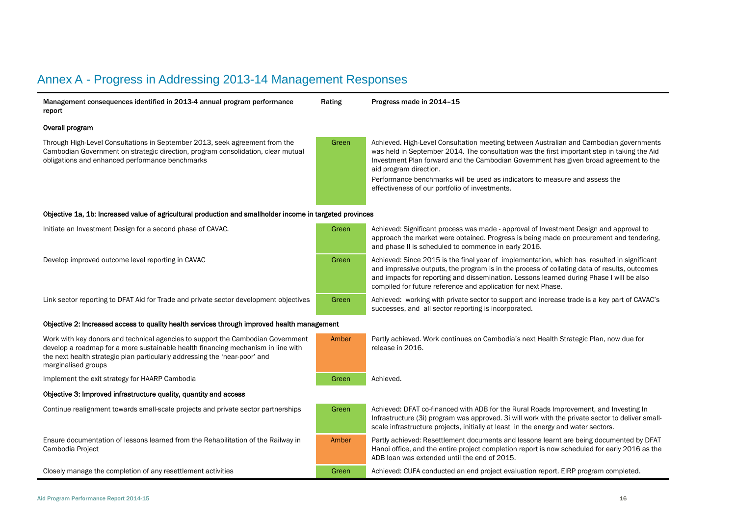## Annex A - Progress in Addressing 2013-14 Management Responses

| Management consequences identified in 2013-4 annual program performance<br>report                                                                                                                                                                                        | Rating | Progress made in 2014-15                                                                                                                                                                                                                                                                                                                                                                                                                  |
|--------------------------------------------------------------------------------------------------------------------------------------------------------------------------------------------------------------------------------------------------------------------------|--------|-------------------------------------------------------------------------------------------------------------------------------------------------------------------------------------------------------------------------------------------------------------------------------------------------------------------------------------------------------------------------------------------------------------------------------------------|
| Overall program                                                                                                                                                                                                                                                          |        |                                                                                                                                                                                                                                                                                                                                                                                                                                           |
| Through High-Level Consultations in September 2013, seek agreement from the<br>Cambodian Government on strategic direction, program consolidation, clear mutual<br>obligations and enhanced performance benchmarks                                                       | Green  | Achieved. High-Level Consultation meeting between Australian and Cambodian governments<br>was held in September 2014. The consultation was the first important step in taking the Aid<br>Investment Plan forward and the Cambodian Government has given broad agreement to the<br>aid program direction.<br>Performance benchmarks will be used as indicators to measure and assess the<br>effectiveness of our portfolio of investments. |
| Objective 1a, 1b: Increased value of agricultural production and smallholder income in targeted provinces                                                                                                                                                                |        |                                                                                                                                                                                                                                                                                                                                                                                                                                           |
| Initiate an Investment Design for a second phase of CAVAC.                                                                                                                                                                                                               | Green  | Achieved: Significant process was made - approval of Investment Design and approval to<br>approach the market were obtained. Progress is being made on procurement and tendering,<br>and phase II is scheduled to commence in early 2016.                                                                                                                                                                                                 |
| Develop improved outcome level reporting in CAVAC                                                                                                                                                                                                                        | Green  | Achieved: Since 2015 is the final year of implementation, which has resulted in significant<br>and impressive outputs, the program is in the process of collating data of results, outcomes<br>and impacts for reporting and dissemination. Lessons learned during Phase I will be also<br>compiled for future reference and application for next Phase.                                                                                  |
| Link sector reporting to DFAT Aid for Trade and private sector development objectives                                                                                                                                                                                    | Green  | Achieved: working with private sector to support and increase trade is a key part of CAVAC's<br>successes, and all sector reporting is incorporated.                                                                                                                                                                                                                                                                                      |
| Objective 2: Increased access to quality health services through improved health management                                                                                                                                                                              |        |                                                                                                                                                                                                                                                                                                                                                                                                                                           |
| Work with key donors and technical agencies to support the Cambodian Government<br>develop a roadmap for a more sustainable health financing mechanism in line with<br>the next health strategic plan particularly addressing the 'near-poor' and<br>marginalised groups | Amber  | Partly achieved. Work continues on Cambodia's next Health Strategic Plan, now due for<br>release in 2016.                                                                                                                                                                                                                                                                                                                                 |
| Implement the exit strategy for HAARP Cambodia                                                                                                                                                                                                                           | Green  | Achieved.                                                                                                                                                                                                                                                                                                                                                                                                                                 |
| Objective 3: Improved infrastructure quality, quantity and access                                                                                                                                                                                                        |        |                                                                                                                                                                                                                                                                                                                                                                                                                                           |
| Continue realignment towards small-scale projects and private sector partnerships                                                                                                                                                                                        | Green  | Achieved: DFAT co-financed with ADB for the Rural Roads Improvement, and Investing In<br>Infrastructure (3i) program was approved. 3i will work with the private sector to deliver small-<br>scale infrastructure projects, initially at least in the energy and water sectors.                                                                                                                                                           |
| Ensure documentation of lessons learned from the Rehabilitation of the Railway in<br>Cambodia Project                                                                                                                                                                    | Amber  | Partly achieved: Resettlement documents and lessons learnt are being documented by DFAT<br>Hanoi office, and the entire project completion report is now scheduled for early 2016 as the<br>ADB loan was extended until the end of 2015.                                                                                                                                                                                                  |
| Closely manage the completion of any resettlement activities                                                                                                                                                                                                             | Green  | Achieved: CUFA conducted an end project evaluation report. EIRP program completed.                                                                                                                                                                                                                                                                                                                                                        |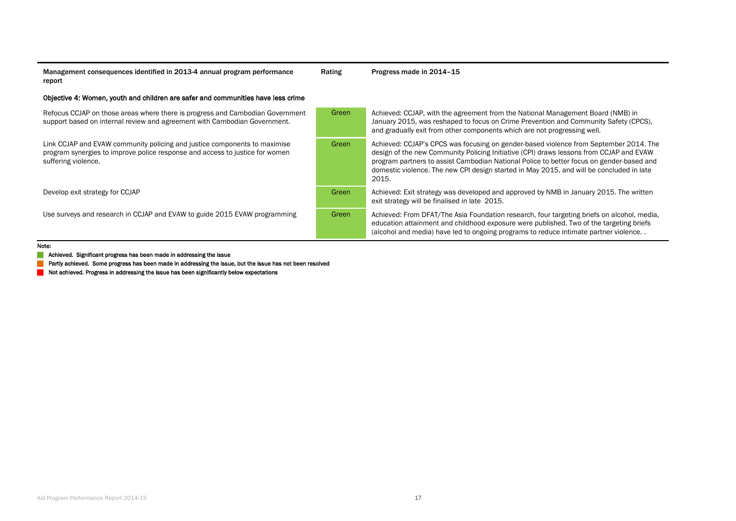Management consequences identified in 2013-4 annual program performance report

Rating Progress made in 2014-15

#### Objective 4: Women, youth and children are safer and communities have less crime

| Refocus CCJAP on those areas where there is progress and Cambodian Government<br>support based on internal review and agreement with Cambodian Government.                       | Green | Achieved: CCJAP, with the agreement from the National Management Board (NMB) in<br>January 2015, was reshaped to focus on Crime Prevention and Community Safety (CPCS).<br>and gradually exit from other components which are not progressing well.                                                                                                                               |
|----------------------------------------------------------------------------------------------------------------------------------------------------------------------------------|-------|-----------------------------------------------------------------------------------------------------------------------------------------------------------------------------------------------------------------------------------------------------------------------------------------------------------------------------------------------------------------------------------|
| Link CCJAP and EVAW community policing and justice components to maximise<br>program synergies to improve police response and access to justice for women<br>suffering violence. | Green | Achieved: CCJAP's CPCS was focusing on gender-based violence from September 2014. The<br>design of the new Community Policing Initiative (CPI) draws lessons from CCJAP and EVAW<br>program partners to assist Cambodian National Police to better focus on gender-based and<br>domestic violence. The new CPI design started in May 2015, and will be concluded in late<br>2015. |
| Develop exit strategy for CCJAP                                                                                                                                                  | Green | Achieved: Exit strategy was developed and approved by NMB in January 2015. The written<br>exit strategy will be finalised in late 2015.                                                                                                                                                                                                                                           |
| Use surveys and research in CCJAP and EVAW to guide 2015 EVAW programming                                                                                                        | Green | Achieved: From DFAT/The Asia Foundation research, four targeting briefs on alcohol, media,<br>education attainment and childhood exposure were published. Two of the targeting briefs<br>(alcohol and media) have led to ongoing programs to reduce intimate partner violence                                                                                                     |

#### Note:

**Achieved. Significant progress has been made in addressing the issue** 

**Partly achieved. Some progress has been made in addressing the issue, but the issue has not been resolved** 

Not achieved. Progress in addressing the issue has been significantly below expectations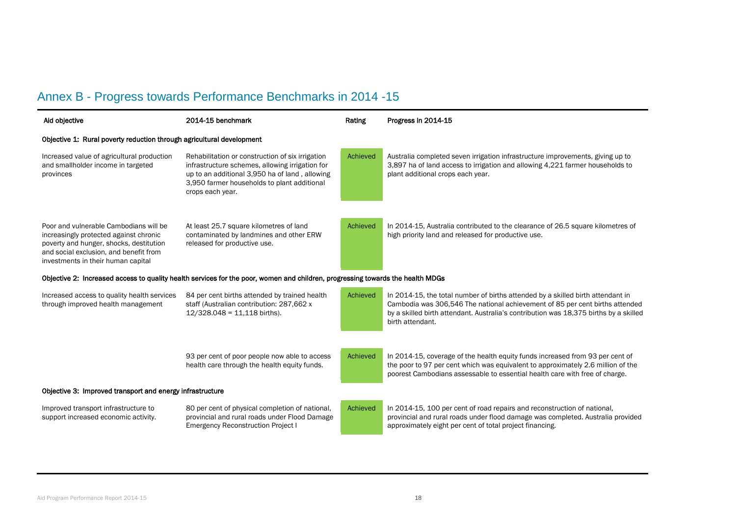# Annex B - Progress towards Performance Benchmarks in 2014 -15

| Aid objective                                                                                                                                                                                               | 2014-15 benchmark<br>Rating                                                                                                                                                                                              |          | Progress in 2014-15                                                                                                                                                                                                                                                          |  |
|-------------------------------------------------------------------------------------------------------------------------------------------------------------------------------------------------------------|--------------------------------------------------------------------------------------------------------------------------------------------------------------------------------------------------------------------------|----------|------------------------------------------------------------------------------------------------------------------------------------------------------------------------------------------------------------------------------------------------------------------------------|--|
| Objective 1: Rural poverty reduction through agricultural development                                                                                                                                       |                                                                                                                                                                                                                          |          |                                                                                                                                                                                                                                                                              |  |
| Increased value of agricultural production<br>and smallholder income in targeted<br>provinces                                                                                                               | Rehabilitation or construction of six irrigation<br>infrastructure schemes, allowing irrigation for<br>up to an additional 3,950 ha of land, allowing<br>3,950 farmer households to plant additional<br>crops each year. | Achieved | Australia completed seven irrigation infrastructure improvements, giving up to<br>3,897 ha of land access to irrigation and allowing 4,221 farmer households to<br>plant additional crops each year.                                                                         |  |
| Poor and vulnerable Cambodians will be<br>increasingly protected against chronic<br>poverty and hunger, shocks, destitution<br>and social exclusion, and benefit from<br>investments in their human capital | At least 25.7 square kilometres of land<br>contaminated by landmines and other ERW<br>released for productive use.                                                                                                       | Achieved | In 2014-15, Australia contributed to the clearance of 26.5 square kilometres of<br>high priority land and released for productive use.                                                                                                                                       |  |
|                                                                                                                                                                                                             | Objective 2: Increased access to quality health services for the poor, women and children, progressing towards the health MDGs                                                                                           |          |                                                                                                                                                                                                                                                                              |  |
| Increased access to quality health services<br>through improved health management                                                                                                                           | 84 per cent births attended by trained health<br>staff (Australian contribution: 287,662 x<br>$12/328.048 = 11,118$ births).                                                                                             | Achieved | In 2014-15, the total number of births attended by a skilled birth attendant in<br>Cambodia was 306,546 The national achievement of 85 per cent births attended<br>by a skilled birth attendant. Australia's contribution was 18,375 births by a skilled<br>birth attendant. |  |
|                                                                                                                                                                                                             | 93 per cent of poor people now able to access<br>health care through the health equity funds.                                                                                                                            | Achieved | In 2014-15, coverage of the health equity funds increased from 93 per cent of<br>the poor to 97 per cent which was equivalent to approximately 2.6 million of the<br>poorest Cambodians assessable to essential health care with free of charge.                             |  |
| Objective 3: Improved transport and energy infrastructure                                                                                                                                                   |                                                                                                                                                                                                                          |          |                                                                                                                                                                                                                                                                              |  |
| Improved transport infrastructure to<br>support increased economic activity.                                                                                                                                | 80 per cent of physical completion of national,<br>provincial and rural roads under Flood Damage<br><b>Emergency Reconstruction Project I</b>                                                                            | Achieved | In 2014-15, 100 per cent of road repairs and reconstruction of national,<br>provincial and rural roads under flood damage was completed. Australia provided<br>approximately eight per cent of total project financing.                                                      |  |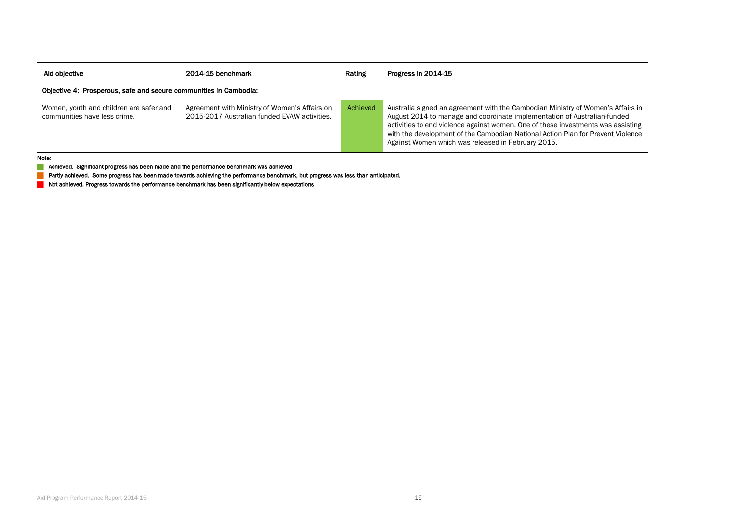| Aid objective                                                           | 2014-15 benchmark                                                                             | Rating   | Progress in 2014-15                                                                                                                                                                                                                                                                                                                                                                      |
|-------------------------------------------------------------------------|-----------------------------------------------------------------------------------------------|----------|------------------------------------------------------------------------------------------------------------------------------------------------------------------------------------------------------------------------------------------------------------------------------------------------------------------------------------------------------------------------------------------|
| Objective 4: Prosperous, safe and secure communities in Cambodia:       |                                                                                               |          |                                                                                                                                                                                                                                                                                                                                                                                          |
| Women, youth and children are safer and<br>communities have less crime. | Agreement with Ministry of Women's Affairs on<br>2015-2017 Australian funded EVAW activities. | Achieved | Australia signed an agreement with the Cambodian Ministry of Women's Affairs in<br>August 2014 to manage and coordinate implementation of Australian-funded<br>activities to end violence against women. One of these investments was assisting<br>with the development of the Cambodian National Action Plan for Prevent Violence<br>Against Women which was released in February 2015. |

Note:

**Achieved.** Significant progress has been made and the performance benchmark was achieved

**Partly achieved.** Some progress has been made towards achieving the performance benchmark, but progress was less than anticipated.

Not achieved. Progress towards the performance benchmark has been significantly below expectations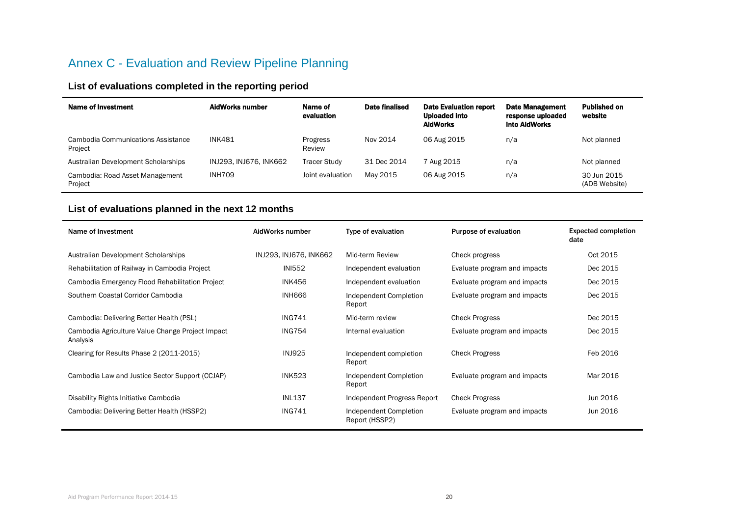## Annex C - Evaluation and Review Pipeline Planning

## **List of evaluations completed in the reporting period**

| Name of Investment                            | AidWorks number        | Name of<br>evaluation | Date finalised | <b>Date Evaluation report</b><br><b>Uploaded into</b><br><b>AidWorks</b> | <b>Date Management</b><br>response uploaded<br>into AidWorks | <b>Published on</b><br>website |
|-----------------------------------------------|------------------------|-----------------------|----------------|--------------------------------------------------------------------------|--------------------------------------------------------------|--------------------------------|
| Cambodia Communications Assistance<br>Project | <b>INK481</b>          | Progress<br>Review    | Nov 2014       | 06 Aug 2015                                                              | n/a                                                          | Not planned                    |
| Australian Development Scholarships           | INJ293. INJ676. INK662 | <b>Tracer Study</b>   | 31 Dec 2014    | 7 Aug 2015                                                               | n/a                                                          | Not planned                    |
| Cambodia: Road Asset Management<br>Project    | <b>INH709</b>          | Joint evaluation      | May 2015       | 06 Aug 2015                                                              | n/a                                                          | 30 Jun 2015<br>(ADB Website)   |

## **List of evaluations planned in the next 12 months**

| Name of Investment                                           | AidWorks number        | Type of evaluation                       | Purpose of evaluation        | <b>Expected completion</b><br>date |
|--------------------------------------------------------------|------------------------|------------------------------------------|------------------------------|------------------------------------|
| Australian Development Scholarships                          | INJ293, INJ676, INK662 | Mid-term Review                          | Check progress               | Oct 2015                           |
| Rehabilitation of Railway in Cambodia Project                | <b>INI552</b>          | Independent evaluation                   | Evaluate program and impacts | Dec 2015                           |
| Cambodia Emergency Flood Rehabilitation Project              | <b>INK456</b>          | Independent evaluation                   | Evaluate program and impacts | Dec 2015                           |
| Southern Coastal Corridor Cambodia                           | <b>INH666</b>          | Independent Completion<br>Report         | Evaluate program and impacts | Dec 2015                           |
| Cambodia: Delivering Better Health (PSL)                     | <b>ING741</b>          | Mid-term review                          | <b>Check Progress</b>        | Dec 2015                           |
| Cambodia Agriculture Value Change Project Impact<br>Analysis | <b>ING754</b>          | Internal evaluation                      | Evaluate program and impacts | Dec 2015                           |
| Clearing for Results Phase 2 (2011-2015)                     | <b>INJ925</b>          | Independent completion<br>Report         | <b>Check Progress</b>        | Feb 2016                           |
| Cambodia Law and Justice Sector Support (CCJAP)              | <b>INK523</b>          | Independent Completion<br>Report         | Evaluate program and impacts | Mar 2016                           |
| Disability Rights Initiative Cambodia                        | <b>INL137</b>          | Independent Progress Report              | <b>Check Progress</b>        | Jun 2016                           |
| Cambodia: Delivering Better Health (HSSP2)                   | <b>ING741</b>          | Independent Completion<br>Report (HSSP2) | Evaluate program and impacts | Jun 2016                           |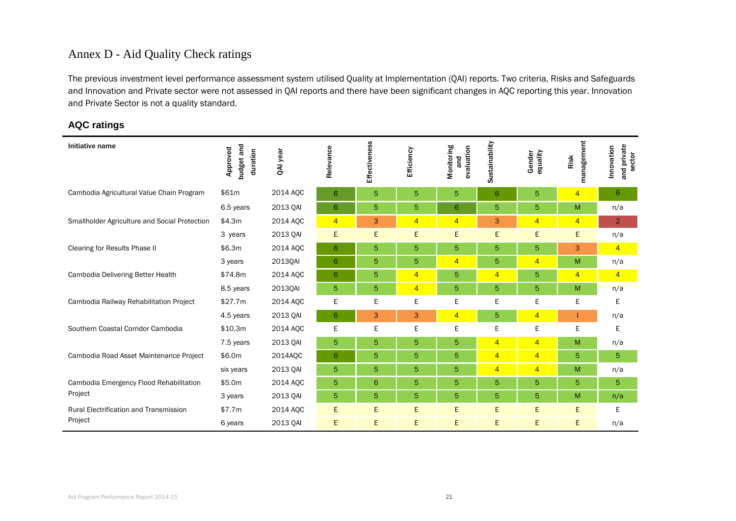## Annex D - Aid Quality Check ratings

The previous investment level performance assessment system utilised Quality at Implementation (QAI) reports. Two criteria, Risks and Safeguards and Innovation and Private sector were not assessed in QAI reports and there have been significant changes in AQC reporting this year. Innovation and Private Sector is not a quality standard.

### **AQC ratings**

| Initiative name                                    | budget and<br>Approved<br>duration | QAI year | Relevance      | <b>SC</b><br><b>Effectivenes</b> | Efficiency     | Monitoring<br>evaluation<br>and | Sustainability | equality<br>Gender | management<br>Risk | and private<br>Innovation<br>sector |
|----------------------------------------------------|------------------------------------|----------|----------------|----------------------------------|----------------|---------------------------------|----------------|--------------------|--------------------|-------------------------------------|
| Cambodia Agricultural Value Chain Program          | \$61m                              | 2014 AQC | 6              | 5                                | 5              | 5                               | 6              | 5                  | $\overline{4}$     | 6                                   |
|                                                    | 6.5 years                          | 2013 QAI | 6              | 5                                | 5              | 6                               | 5              | 5                  | M                  | n/a                                 |
| Smallholder Agriculture and Social Protection      | \$4.3m                             | 2014 AQC | $\overline{4}$ | 3                                | $\overline{4}$ | $\overline{4}$                  | 3              | $\overline{4}$     | $\overline{4}$     | $\overline{2}$                      |
|                                                    | 3 years                            | 2013 QAI | E              | E                                | E              | E                               | E              | E                  | E                  | n/a                                 |
| <b>Clearing for Results Phase II</b>               | \$6.3m                             | 2014 AQC | 6              | 5                                | 5              | 5                               | 5              | 5                  | 3                  | $\overline{4}$                      |
|                                                    | 3 years                            | 2013QAI  | 6              | 5                                | 5              | $\overline{4}$                  | 5              | $\overline{4}$     | M                  | n/a                                 |
| Cambodia Delivering Better Health                  | \$74.8m                            | 2014 AQC | 6              | 5                                | $\overline{4}$ | 5                               | $\overline{4}$ | 5                  | $\overline{4}$     | $\overline{4}$                      |
|                                                    | 8.5 years                          | 2013QAI  | 5              | 5                                | $\overline{4}$ | 5                               | 5              | 5                  | M                  | n/a                                 |
| Cambodia Railway Rehabilitation Project            | \$27.7m                            | 2014 AQC | E              | E                                | E              | E                               | Е              | E                  | E                  | E.                                  |
|                                                    | 4.5 years                          | 2013 QAI | 6              | 3                                | 3              | $\overline{4}$                  | 5              | $\overline{4}$     |                    | n/a                                 |
| Southern Coastal Corridor Cambodia                 | \$10.3m                            | 2014 AOC | E              | E                                | E              | E                               | E              | E                  | E                  | Е                                   |
|                                                    | 7.5 years                          | 2013 QAI | 5              | 5                                | 5              | 5                               | $\overline{4}$ | $\overline{4}$     | M                  | n/a                                 |
| Cambodia Road Asset Maintenance Project            | \$6.0m                             | 2014AQC  | 6              | 5                                | 5              | 5                               | $\overline{4}$ | $\overline{4}$     | 5                  | 5                                   |
|                                                    | six years                          | 2013 QAI | 5              | 5                                | 5              | 5                               | $\overline{4}$ | 4                  | M                  | n/a                                 |
| Cambodia Emergency Flood Rehabilitation<br>Project | \$5.0m                             | 2014 AQC | 5              | 6                                | 5              | 5                               | 5              | 5                  | 5                  | 5                                   |
|                                                    | 3 years                            | 2013 QAI | 5              | 5                                | 5              | 5                               | 5              | 5                  | M                  | n/a                                 |
| <b>Rural Electrification and Transmission</b>      | \$7.7m                             | 2014 AQC | E              | E.                               | Ε              | E                               | E.             | E                  | Ε                  | Е                                   |
| Project                                            | 6 years                            | 2013 QAI | E,             | E                                | E              | E.                              | E              | E                  | E                  | n/a                                 |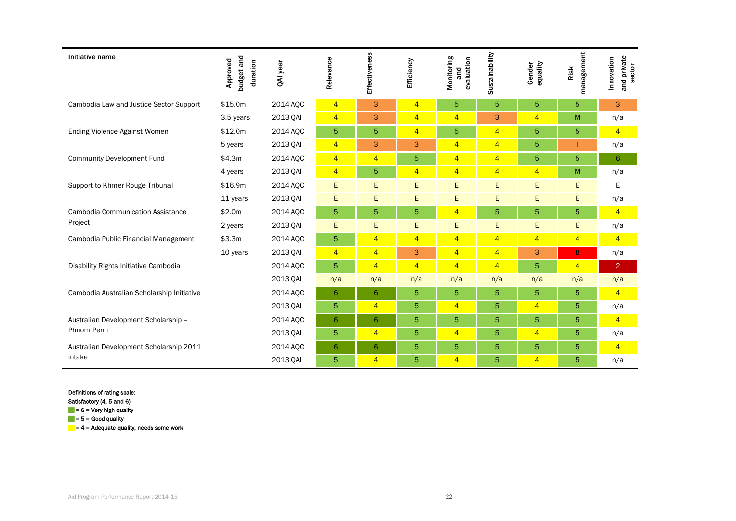| Initiative name                            | budget and<br>Approved<br>duration | QAI year | Relevance      | Effectiveness  | Efficiency     | Monitoring<br>evaluation<br>and | Sustainability | Gender<br>equality | management<br>Risk | and private<br>sector<br>Innovation |
|--------------------------------------------|------------------------------------|----------|----------------|----------------|----------------|---------------------------------|----------------|--------------------|--------------------|-------------------------------------|
| Cambodia Law and Justice Sector Support    | \$15.0m                            | 2014 AQC | $\overline{4}$ | 3              | $\overline{4}$ | $\sqrt{5}$                      | 5              | 5                  | $\overline{5}$     | 3                                   |
|                                            | 3.5 years                          | 2013 QAI | $\overline{4}$ | 3              | $\overline{4}$ | $\overline{4}$                  | 3              | $\overline{4}$     | M                  | n/a                                 |
| <b>Ending Violence Against Women</b>       | \$12.0m                            | 2014 AOC | 5              | 5              | $\overline{4}$ | 5                               | $\overline{4}$ | 5                  | 5                  | $\overline{4}$                      |
|                                            | 5 years                            | 2013 QAI | $\overline{4}$ | 3              | 3              | $\overline{4}$                  | $\overline{4}$ | 5                  |                    | n/a                                 |
| <b>Community Development Fund</b>          | \$4.3m                             | 2014 AOC | $\overline{4}$ | $\overline{4}$ | 5              | $\overline{4}$                  | $\overline{4}$ | 5                  | 5                  | 6                                   |
|                                            | 4 years                            | 2013 QAI | $\overline{4}$ | 5              | $\overline{4}$ | $\overline{4}$                  | $\overline{4}$ | $\overline{4}$     | M                  | n/a                                 |
| Support to Khmer Rouge Tribunal            | \$16.9m                            | 2014 AQC | Ε              | E              | E              | E                               | E              | E                  | E                  | Е                                   |
|                                            | 11 years                           | 2013 QAI | E              | E              | E              | E                               | E              | E                  | E                  | n/a                                 |
| <b>Cambodia Communication Assistance</b>   | \$2.0m                             | 2014 AOC | 5              | 5              | 5              | $\overline{4}$                  | 5              | 5                  | 5                  | $\overline{4}$                      |
| Project                                    | 2 years                            | 2013 QAI | E              | E              | E              | E                               | E              | E                  | E                  | n/a                                 |
| Cambodia Public Financial Management       | \$3.3m                             | 2014 AOC | 5              | $\overline{4}$ | $\overline{4}$ | $\overline{4}$                  | $\overline{4}$ | $\overline{4}$     | $\overline{4}$     | $\overline{4}$                      |
|                                            | 10 years                           | 2013 QAI | $\overline{4}$ | $\overline{4}$ | 3              | $\overline{4}$                  | $\overline{4}$ | 3                  | B                  | n/a                                 |
| Disability Rights Initiative Cambodia      |                                    | 2014 AOC | 5              | $\overline{4}$ | $\overline{4}$ | $\overline{4}$                  | $\overline{4}$ | 5                  | $\overline{4}$     | $\overline{2}$                      |
|                                            |                                    | 2013 QAI | n/a            | n/a            | n/a            | n/a                             | n/a            | n/a                | n/a                | n/a                                 |
| Cambodia Australian Scholarship Initiative |                                    | 2014 AQC | 6              | 6              | 5              | $\overline{5}$                  | 5              | 5                  | 5                  | $\overline{4}$                      |
|                                            |                                    | 2013 QAI | 5              | $\overline{4}$ | 5              | $\overline{4}$                  | 5              | $\overline{4}$     | 5                  | n/a                                 |
| Australian Development Scholarship -       |                                    | 2014 AOC | 6              | 6              | 5              | $\overline{5}$                  | 5              | 5                  | 5                  | $\overline{4}$                      |
| Phnom Penh                                 |                                    | 2013 QAI | 5              | $\overline{4}$ | 5              | $\overline{4}$                  | 5              | $\overline{4}$     | 5                  | n/a                                 |
| Australian Development Scholarship 2011    |                                    | 2014 AOC | 6              | 6              | 5              | $\overline{5}$                  | 5              | 5                  | 5                  | $\overline{4}$                      |
| intake                                     |                                    | 2013 QAI | 5              | $\overline{4}$ | 5              | $\overline{4}$                  | 5              | $\overline{4}$     | 5                  | n/a                                 |

Definitions of rating scale:

Satisfactory (4, 5 and 6)

 $= 6$  = Very high quality

 $= 5 =$  Good quality

 $= 4$  = Adequate quality, needs some work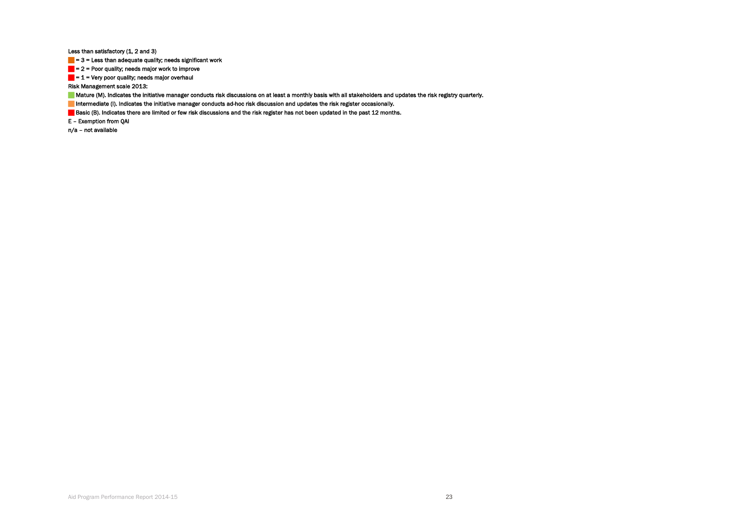Less than satisfactory (1, 2 and 3)

 $= 3$  = Less than adequate quality; needs significant work

 $= 2$  = Poor quality; needs major work to improve

 $= 1$  = Very poor quality; needs major overhaul

Risk Management scale 2013:

Mature (M). Indicates the initiative manager conducts risk discussions on at least a monthly basis with all stakeholders and updates the risk registry quarterly.

Intermediate (I). Indicates the initiative manager conducts ad-hoc risk discussion and updates the risk register occasionally.

Basic (B). Indicates there are limited or few risk discussions and the risk register has not been updated in the past 12 months.

E – Exemption from QAI

n/a – not available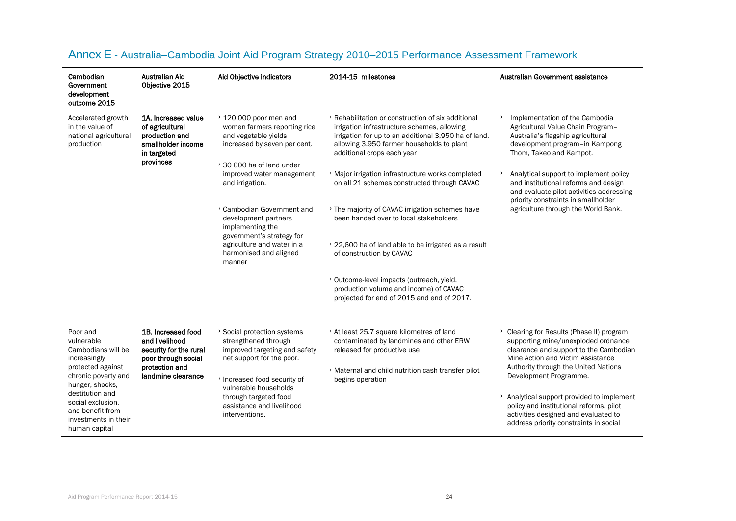| Cambodian<br>Government<br>development<br>outcome 2015                                                                                                           | Australian Aid<br>Objective 2015                                                                           | Aid Objective indicators                                                                                                   | 2014-15 milestones                                                                                                                                                                                                                   | Australian Government assistance                                                                                                                                        |
|------------------------------------------------------------------------------------------------------------------------------------------------------------------|------------------------------------------------------------------------------------------------------------|----------------------------------------------------------------------------------------------------------------------------|--------------------------------------------------------------------------------------------------------------------------------------------------------------------------------------------------------------------------------------|-------------------------------------------------------------------------------------------------------------------------------------------------------------------------|
| Accelerated growth<br>in the value of<br>national agricultural<br>production                                                                                     | 1A. Increased value<br>of agricultural<br>production and<br>smallholder income<br>in targeted<br>provinces | $\rightarrow$ 120 000 poor men and<br>women farmers reporting rice<br>and vegetable yields<br>increased by seven per cent. | > Rehabilitation or construction of six additional<br>irrigation infrastructure schemes, allowing<br>irrigation for up to an additional 3,950 ha of land,<br>allowing 3,950 farmer households to plant<br>additional crops each year | Implementation of the Cambodia<br>Agricultural Value Chain Program-<br>Australia's flagship agricultural<br>development program-in Kampong<br>Thom, Takeo and Kampot.   |
|                                                                                                                                                                  |                                                                                                            | $\rightarrow$ 30 000 ha of land under<br>improved water management<br>and irrigation.                                      | > Major irrigation infrastructure works completed<br>on all 21 schemes constructed through CAVAC                                                                                                                                     | Analytical support to implement policy<br>and institutional reforms and design<br>and evaluate pilot activities addressing<br>priority constraints in smallholder       |
|                                                                                                                                                                  |                                                                                                            | > Cambodian Government and<br>development partners<br>implementing the<br>government's strategy for                        | > The majority of CAVAC irrigation schemes have<br>been handed over to local stakeholders                                                                                                                                            | agriculture through the World Bank.                                                                                                                                     |
|                                                                                                                                                                  |                                                                                                            | agriculture and water in a<br>harmonised and aligned<br>manner                                                             | > 22,600 ha of land able to be irrigated as a result<br>of construction by CAVAC                                                                                                                                                     |                                                                                                                                                                         |
|                                                                                                                                                                  |                                                                                                            |                                                                                                                            | > Outcome-level impacts (outreach, yield,<br>production volume and income) of CAVAC<br>projected for end of 2015 and end of 2017.                                                                                                    |                                                                                                                                                                         |
| Poor and<br>vulnerable<br>Cambodians will be<br>increasingly                                                                                                     | 1B. Increased food<br>and livelihood<br>security for the rural<br>poor through social                      | > Social protection systems<br>strengthened through<br>improved targeting and safety<br>net support for the poor.          | > At least 25.7 square kilometres of land<br>contaminated by landmines and other ERW<br>released for productive use                                                                                                                  | > Clearing for Results (Phase II) program<br>supporting mine/unexploded ordnance<br>clearance and support to the Cambodian<br>Mine Action and Victim Assistance         |
| protected against<br>chronic poverty and<br>hunger, shocks,<br>destitution and<br>social exclusion,<br>and benefit from<br>investments in their<br>human capital | protection and<br>landmine clearance                                                                       | > Increased food security of<br>vulnerable households                                                                      | > Maternal and child nutrition cash transfer pilot<br>begins operation                                                                                                                                                               | Authority through the United Nations<br>Development Programme.                                                                                                          |
|                                                                                                                                                                  |                                                                                                            | through targeted food<br>assistance and livelihood<br>interventions.                                                       |                                                                                                                                                                                                                                      | > Analytical support provided to implement<br>policy and institutional reforms, pilot<br>activities designed and evaluated to<br>address priority constraints in social |

## Annex E - Australia–Cambodia Joint Aid Program Strategy 2010–2015 Performance Assessment Framework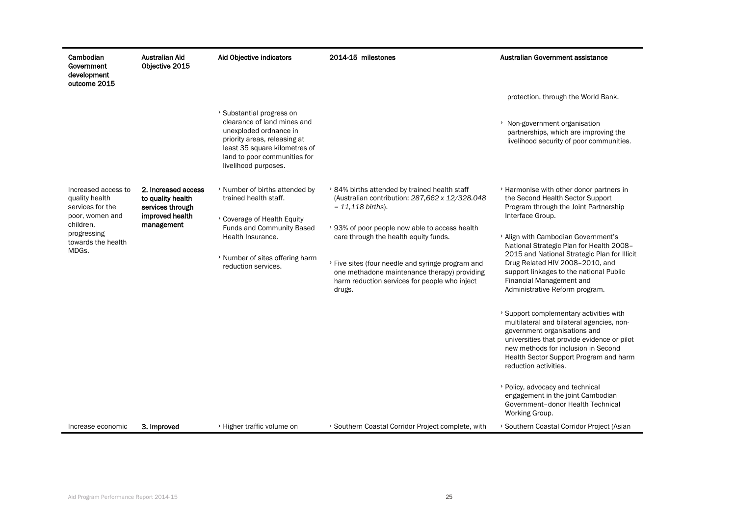| Cambodian<br>Government<br>development<br>outcome 2015                                                                                  | Australian Aid<br>Objective 2015                                                              | Aid Objective indicators                                                                                                                                                                                    | 2014-15 milestones                                                                                                                                                                                                                                                                                                                                                                       | Australian Government assistance                                                                                                                                                                                                                                                                                                                                                                                                                                                                                                                                                                                                                                                                                                                                                                                                          |
|-----------------------------------------------------------------------------------------------------------------------------------------|-----------------------------------------------------------------------------------------------|-------------------------------------------------------------------------------------------------------------------------------------------------------------------------------------------------------------|------------------------------------------------------------------------------------------------------------------------------------------------------------------------------------------------------------------------------------------------------------------------------------------------------------------------------------------------------------------------------------------|-------------------------------------------------------------------------------------------------------------------------------------------------------------------------------------------------------------------------------------------------------------------------------------------------------------------------------------------------------------------------------------------------------------------------------------------------------------------------------------------------------------------------------------------------------------------------------------------------------------------------------------------------------------------------------------------------------------------------------------------------------------------------------------------------------------------------------------------|
|                                                                                                                                         |                                                                                               |                                                                                                                                                                                                             |                                                                                                                                                                                                                                                                                                                                                                                          | protection, through the World Bank.                                                                                                                                                                                                                                                                                                                                                                                                                                                                                                                                                                                                                                                                                                                                                                                                       |
|                                                                                                                                         |                                                                                               | > Substantial progress on<br>clearance of land mines and<br>unexploded ordnance in<br>priority areas, releasing at<br>least 35 square kilometres of<br>land to poor communities for<br>livelihood purposes. |                                                                                                                                                                                                                                                                                                                                                                                          | > Non-government organisation<br>partnerships, which are improving the<br>livelihood security of poor communities.                                                                                                                                                                                                                                                                                                                                                                                                                                                                                                                                                                                                                                                                                                                        |
| Increased access to<br>quality health<br>services for the<br>poor, women and<br>children,<br>progressing<br>towards the health<br>MDGs. | 2. Increased access<br>to quality health<br>services through<br>improved health<br>management | > Number of births attended by<br>trained health staff.<br>> Coverage of Health Equity<br><b>Funds and Community Based</b><br>Health Insurance.<br>> Number of sites offering harm<br>reduction services.   | > 84% births attended by trained health staff<br>(Australian contribution: 287,662 x 12/328.048<br>$= 11,118 \text{ births}.$<br>> 93% of poor people now able to access health<br>care through the health equity funds.<br>> Five sites (four needle and syringe program and<br>one methadone maintenance therapy) providing<br>harm reduction services for people who inject<br>drugs. | > Harmonise with other donor partners in<br>the Second Health Sector Support<br>Program through the Joint Partnership<br>Interface Group.<br>> Align with Cambodian Government's<br>National Strategic Plan for Health 2008-<br>2015 and National Strategic Plan for Illicit<br>Drug Related HIV 2008-2010, and<br>support linkages to the national Public<br>Financial Management and<br>Administrative Reform program.<br>> Support complementary activities with<br>multilateral and bilateral agencies, non-<br>government organisations and<br>universities that provide evidence or pilot<br>new methods for inclusion in Second<br>Health Sector Support Program and harm<br>reduction activities.<br>> Policy, advocacy and technical<br>engagement in the joint Cambodian<br>Government-donor Health Technical<br>Working Group. |
| Increase economic                                                                                                                       | 3. Improved                                                                                   | > Higher traffic volume on                                                                                                                                                                                  | > Southern Coastal Corridor Project complete, with                                                                                                                                                                                                                                                                                                                                       | > Southern Coastal Corridor Project (Asian                                                                                                                                                                                                                                                                                                                                                                                                                                                                                                                                                                                                                                                                                                                                                                                                |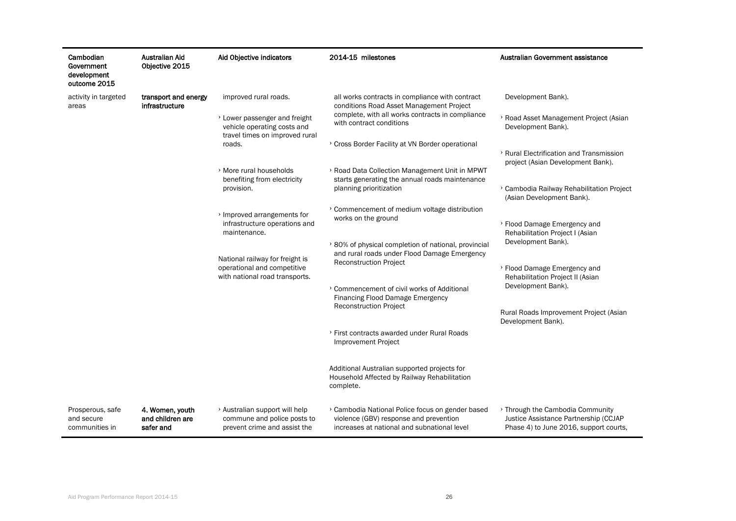| Cambodian<br>Government<br>development<br>outcome 2015 | Australian Aid<br>Objective 2015                 | Aid Objective indicators                                                                                                                                                                                                      | 2014-15 milestones                                                                                                                                                                                                                                                                | Australian Government assistance                                                                                                                                    |
|--------------------------------------------------------|--------------------------------------------------|-------------------------------------------------------------------------------------------------------------------------------------------------------------------------------------------------------------------------------|-----------------------------------------------------------------------------------------------------------------------------------------------------------------------------------------------------------------------------------------------------------------------------------|---------------------------------------------------------------------------------------------------------------------------------------------------------------------|
| activity in targeted<br>areas                          | transport and energy<br>infrastructure           | improved rural roads.<br>> Lower passenger and freight<br>vehicle operating costs and<br>travel times on improved rural<br>roads.<br>> More rural households                                                                  | all works contracts in compliance with contract<br>conditions Road Asset Management Project<br>complete, with all works contracts in compliance<br>with contract conditions<br>> Cross Border Facility at VN Border operational<br>> Road Data Collection Management Unit in MPWT | Development Bank).<br>> Road Asset Management Project (Asian<br>Development Bank).<br>> Rural Electrification and Transmission<br>project (Asian Development Bank). |
|                                                        |                                                  | benefiting from electricity<br>provision.<br>> Improved arrangements for<br>infrastructure operations and<br>maintenance.<br>National railway for freight is<br>operational and competitive<br>with national road transports. | starts generating the annual roads maintenance<br>planning prioritization                                                                                                                                                                                                         | > Cambodia Railway Rehabilitation Project<br>(Asian Development Bank).                                                                                              |
|                                                        |                                                  |                                                                                                                                                                                                                               | > Commencement of medium voltage distribution<br>works on the ground<br>> 80% of physical completion of national, provincial<br>and rural roads under Flood Damage Emergency                                                                                                      | > Flood Damage Emergency and<br>Rehabilitation Project I (Asian<br>Development Bank).                                                                               |
|                                                        |                                                  |                                                                                                                                                                                                                               | <b>Reconstruction Project</b><br>> Commencement of civil works of Additional<br>Financing Flood Damage Emergency                                                                                                                                                                  | > Flood Damage Emergency and<br>Rehabilitation Project II (Asian<br>Development Bank).                                                                              |
|                                                        |                                                  |                                                                                                                                                                                                                               | <b>Reconstruction Project</b>                                                                                                                                                                                                                                                     | Rural Roads Improvement Project (Asian<br>Development Bank).                                                                                                        |
|                                                        |                                                  |                                                                                                                                                                                                                               | > First contracts awarded under Rural Roads<br><b>Improvement Project</b>                                                                                                                                                                                                         |                                                                                                                                                                     |
|                                                        |                                                  |                                                                                                                                                                                                                               | Additional Australian supported projects for<br>Household Affected by Railway Rehabilitation<br>complete.                                                                                                                                                                         |                                                                                                                                                                     |
| Prosperous, safe<br>and secure<br>communities in       | 4. Women, youth<br>and children are<br>safer and | > Australian support will help<br>commune and police posts to<br>prevent crime and assist the                                                                                                                                 | > Cambodia National Police focus on gender based<br>violence (GBV) response and prevention<br>increases at national and subnational level                                                                                                                                         | > Through the Cambodia Community<br>Justice Assistance Partnership (CCJAP<br>Phase 4) to June 2016, support courts,                                                 |